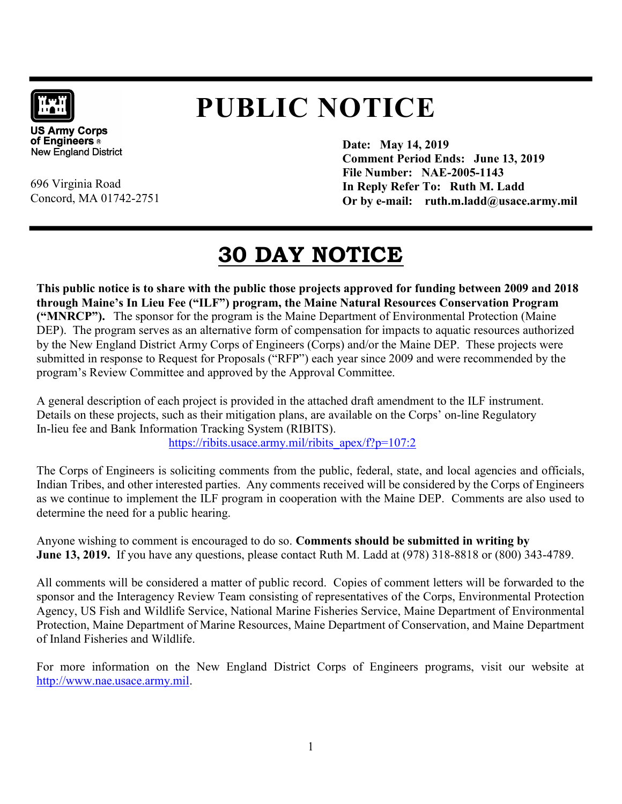

# PUBLIC NOTICE

**US Army Corps** of Engineers o **New England District** 

696 Virginia Road

Concord, MA 01742-2751

Date: May 14, 2019 Comment Period Ends: June 13, 2019 File Number: NAE-2005-1143 In Reply Refer To: Ruth M. Ladd Or by e-mail:  $ruth.m.ladd@usace.army.mil$ 

# 30 DAY NOTICE

This public notice is to share with the public those projects approved for funding between 2009 and 2018 through Maine's In Lieu Fee ("ILF") program, the Maine Natural Resources Conservation Program ("MNRCP"). The sponsor for the program is the Maine Department of Environmental Protection (Maine DEP). The program serves as an alternative form of compensation for impacts to aquatic resources authorized by the New England District Army Corps of Engineers (Corps) and/or the Maine DEP. These projects were submitted in response to Request for Proposals ("RFP") each year since 2009 and were recommended by the program's Review Committee and approved by the Approval Committee.

A general description of each project is provided in the attached draft amendment to the ILF instrument. Details on these projects, such as their mitigation plans, are available on the Corps' on-line Regulatory In-lieu fee and Bank Information Tracking System (RIBITS).

https://ribits.usace.army.mil/ribits\_apex/f?p=107:2

The Corps of Engineers is soliciting comments from the public, federal, state, and local agencies and officials, Indian Tribes, and other interested parties. Any comments received will be considered by the Corps of Engineers as we continue to implement the ILF program in cooperation with the Maine DEP. Comments are also used to determine the need for a public hearing.

Anyone wishing to comment is encouraged to do so. Comments should be submitted in writing by June 13, 2019. If you have any questions, please contact Ruth M. Ladd at (978) 318-8818 or (800) 343-4789.

All comments will be considered a matter of public record. Copies of comment letters will be forwarded to the sponsor and the Interagency Review Team consisting of representatives of the Corps, Environmental Protection Agency, US Fish and Wildlife Service, National Marine Fisheries Service, Maine Department of Environmental Protection, Maine Department of Marine Resources, Maine Department of Conservation, and Maine Department of Inland Fisheries and Wildlife.

For more information on the New England District Corps of Engineers programs, visit our website at http://www.nae.usace.army.mil.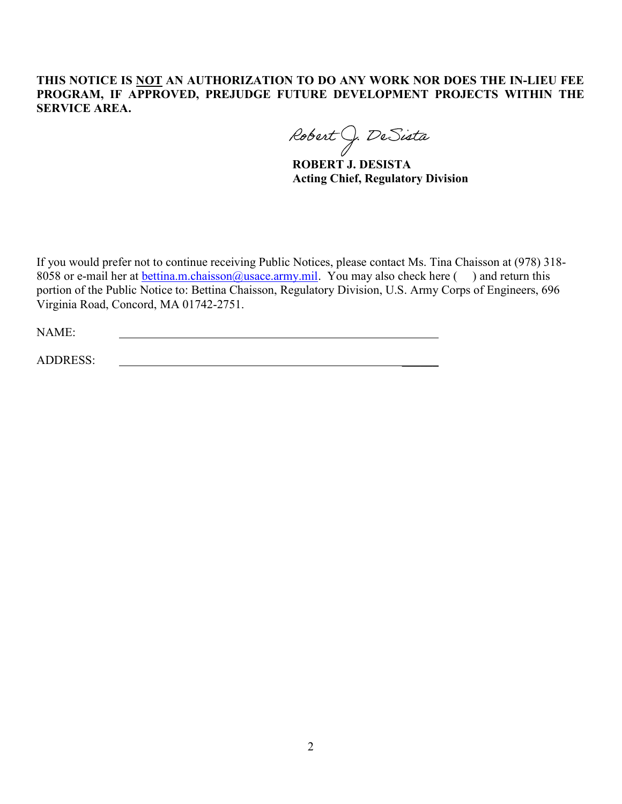### THIS NOTICE IS NOT AN AUTHORIZATION TO DO ANY WORK NOR DOES THE IN-LIEU FEE PROGRAM, IF APPROVED, PREJUDGE FUTURE DEVELOPMENT PROJECTS WITHIN THE SERVICE AREA.

Robert J. DeSista

ROBERT J. DESISTA Acting Chief, Regulatory Division

If you would prefer not to continue receiving Public Notices, please contact Ms. Tina Chaisson at (978) 318- 8058 or e-mail her at **bettina.m.chaisson@usace.army.mil**. You may also check here () and return this portion of the Public Notice to: Bettina Chaisson, Regulatory Division, U.S. Army Corps of Engineers, 696 Virginia Road, Concord, MA 01742-2751.

NAME:

ADDRESS: \_\_\_\_\_\_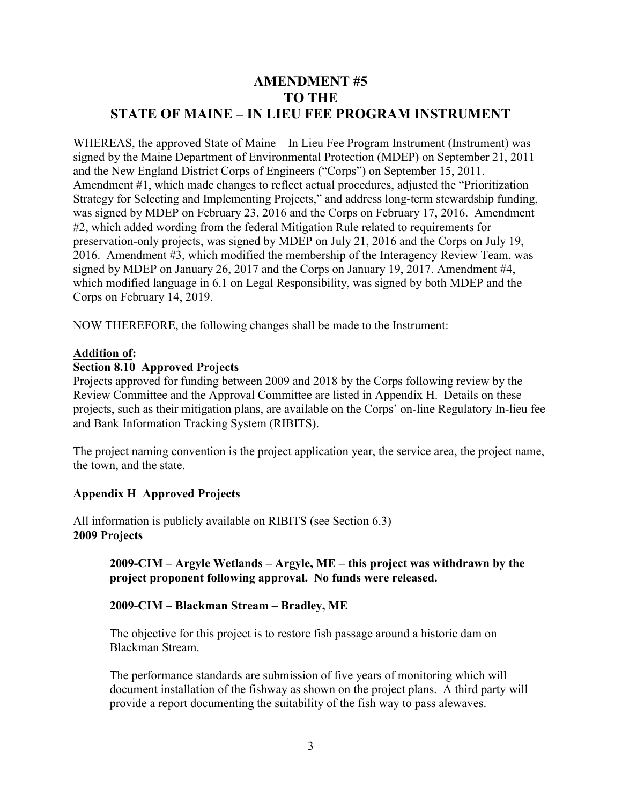# AMENDMENT #5 TO THE STATE OF MAINE – IN LIEU FEE PROGRAM INSTRUMENT

WHEREAS, the approved State of Maine – In Lieu Fee Program Instrument (Instrument) was signed by the Maine Department of Environmental Protection (MDEP) on September 21, 2011 and the New England District Corps of Engineers ("Corps") on September 15, 2011. Amendment #1, which made changes to reflect actual procedures, adjusted the "Prioritization Strategy for Selecting and Implementing Projects," and address long-term stewardship funding, was signed by MDEP on February 23, 2016 and the Corps on February 17, 2016. Amendment #2, which added wording from the federal Mitigation Rule related to requirements for preservation-only projects, was signed by MDEP on July 21, 2016 and the Corps on July 19, 2016. Amendment #3, which modified the membership of the Interagency Review Team, was signed by MDEP on January 26, 2017 and the Corps on January 19, 2017. Amendment #4, which modified language in 6.1 on Legal Responsibility, was signed by both MDEP and the Corps on February 14, 2019.

NOW THEREFORE, the following changes shall be made to the Instrument:

#### Addition of:

#### Section 8.10 Approved Projects

Projects approved for funding between 2009 and 2018 by the Corps following review by the Review Committee and the Approval Committee are listed in Appendix H. Details on these projects, such as their mitigation plans, are available on the Corps' on-line Regulatory In-lieu fee and Bank Information Tracking System (RIBITS).

The project naming convention is the project application year, the service area, the project name, the town, and the state.

### Appendix H Approved Projects

All information is publicly available on RIBITS (see Section 6.3) 2009 Projects

### 2009-CIM – Argyle Wetlands – Argyle, ME – this project was withdrawn by the project proponent following approval. No funds were released.

#### 2009-CIM – Blackman Stream – Bradley, ME

The objective for this project is to restore fish passage around a historic dam on Blackman Stream.

The performance standards are submission of five years of monitoring which will document installation of the fishway as shown on the project plans. A third party will provide a report documenting the suitability of the fish way to pass alewaves.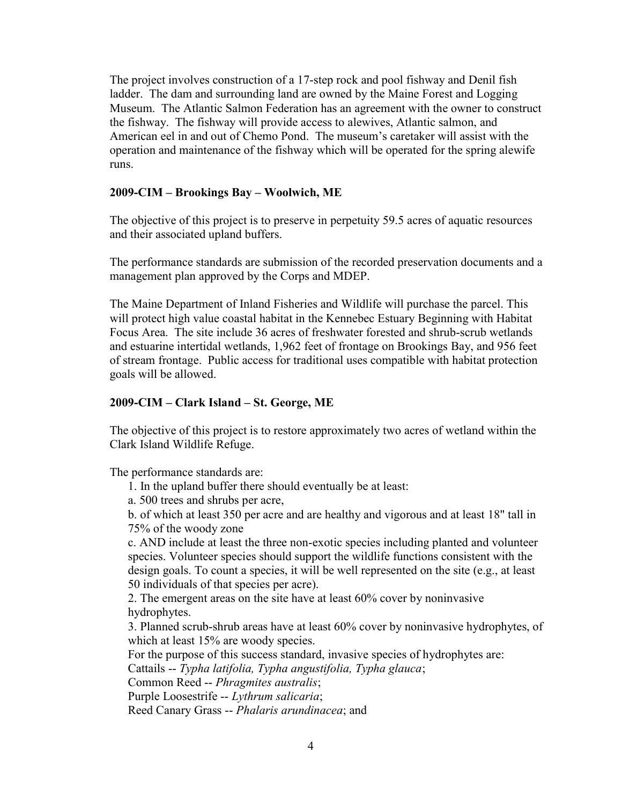The project involves construction of a 17-step rock and pool fishway and Denil fish ladder. The dam and surrounding land are owned by the Maine Forest and Logging Museum. The Atlantic Salmon Federation has an agreement with the owner to construct the fishway. The fishway will provide access to alewives, Atlantic salmon, and American eel in and out of Chemo Pond. The museum's caretaker will assist with the operation and maintenance of the fishway which will be operated for the spring alewife runs.

#### 2009-CIM – Brookings Bay – Woolwich, ME

The objective of this project is to preserve in perpetuity 59.5 acres of aquatic resources and their associated upland buffers.

The performance standards are submission of the recorded preservation documents and a management plan approved by the Corps and MDEP.

The Maine Department of Inland Fisheries and Wildlife will purchase the parcel. This will protect high value coastal habitat in the Kennebec Estuary Beginning with Habitat Focus Area. The site include 36 acres of freshwater forested and shrub-scrub wetlands and estuarine intertidal wetlands, 1,962 feet of frontage on Brookings Bay, and 956 feet of stream frontage. Public access for traditional uses compatible with habitat protection goals will be allowed.

#### 2009-CIM – Clark Island – St. George, ME

The objective of this project is to restore approximately two acres of wetland within the Clark Island Wildlife Refuge.

The performance standards are:

1. In the upland buffer there should eventually be at least:

a. 500 trees and shrubs per acre,

b. of which at least 350 per acre and are healthy and vigorous and at least 18" tall in 75% of the woody zone

c. AND include at least the three non-exotic species including planted and volunteer species. Volunteer species should support the wildlife functions consistent with the design goals. To count a species, it will be well represented on the site (e.g., at least 50 individuals of that species per acre).

2. The emergent areas on the site have at least 60% cover by noninvasive hydrophytes.

3. Planned scrub-shrub areas have at least 60% cover by noninvasive hydrophytes, of which at least 15% are woody species.

For the purpose of this success standard, invasive species of hydrophytes are:

Cattails -- Typha latifolia, Typha angustifolia, Typha glauca;

Common Reed -- Phragmites australis;

Purple Loosestrife -- Lythrum salicaria;

Reed Canary Grass -- Phalaris arundinacea; and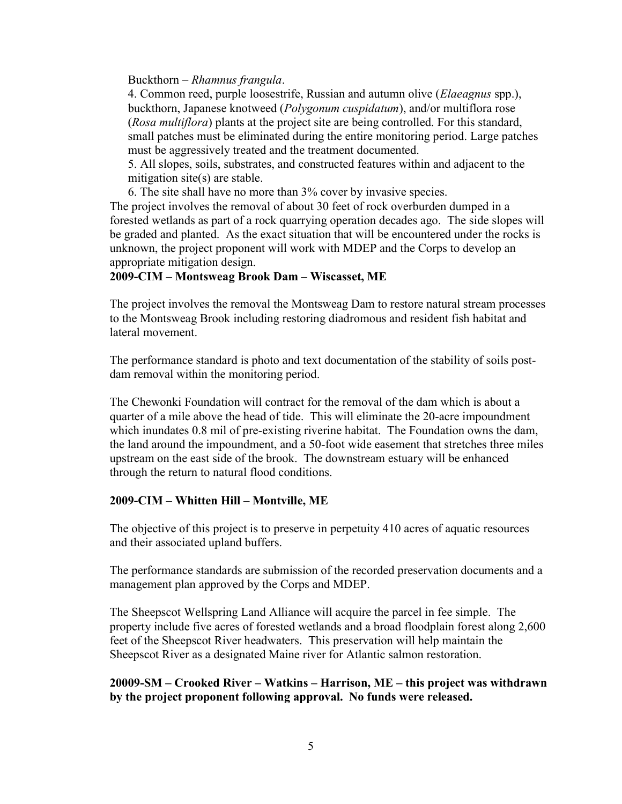Buckthorn – Rhamnus frangula.

4. Common reed, purple loosestrife, Russian and autumn olive (*Elaeagnus* spp.), buckthorn, Japanese knotweed (Polygonum cuspidatum), and/or multiflora rose (Rosa multiflora) plants at the project site are being controlled. For this standard, small patches must be eliminated during the entire monitoring period. Large patches must be aggressively treated and the treatment documented.

5. All slopes, soils, substrates, and constructed features within and adjacent to the mitigation site(s) are stable.

6. The site shall have no more than 3% cover by invasive species.

The project involves the removal of about 30 feet of rock overburden dumped in a forested wetlands as part of a rock quarrying operation decades ago. The side slopes will be graded and planted. As the exact situation that will be encountered under the rocks is unknown, the project proponent will work with MDEP and the Corps to develop an appropriate mitigation design.

#### 2009-CIM – Montsweag Brook Dam – Wiscasset, ME

The project involves the removal the Montsweag Dam to restore natural stream processes to the Montsweag Brook including restoring diadromous and resident fish habitat and lateral movement.

The performance standard is photo and text documentation of the stability of soils postdam removal within the monitoring period.

The Chewonki Foundation will contract for the removal of the dam which is about a quarter of a mile above the head of tide. This will eliminate the 20-acre impoundment which inundates 0.8 mil of pre-existing riverine habitat. The Foundation owns the dam, the land around the impoundment, and a 50-foot wide easement that stretches three miles upstream on the east side of the brook. The downstream estuary will be enhanced through the return to natural flood conditions.

#### 2009-CIM – Whitten Hill – Montville, ME

The objective of this project is to preserve in perpetuity 410 acres of aquatic resources and their associated upland buffers.

The performance standards are submission of the recorded preservation documents and a management plan approved by the Corps and MDEP.

The Sheepscot Wellspring Land Alliance will acquire the parcel in fee simple. The property include five acres of forested wetlands and a broad floodplain forest along 2,600 feet of the Sheepscot River headwaters. This preservation will help maintain the Sheepscot River as a designated Maine river for Atlantic salmon restoration.

#### 20009-SM – Crooked River – Watkins – Harrison, ME – this project was withdrawn by the project proponent following approval. No funds were released.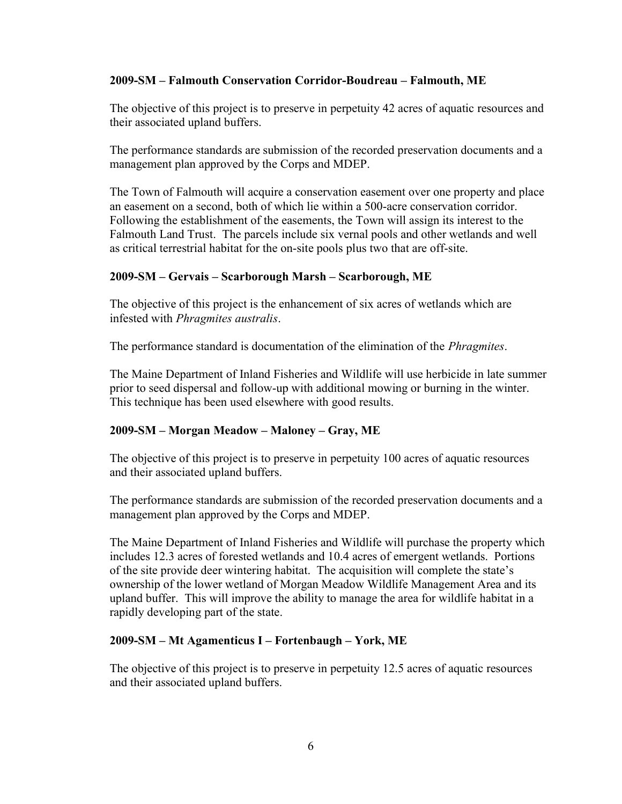#### 2009-SM – Falmouth Conservation Corridor-Boudreau – Falmouth, ME

The objective of this project is to preserve in perpetuity 42 acres of aquatic resources and their associated upland buffers.

The performance standards are submission of the recorded preservation documents and a management plan approved by the Corps and MDEP.

The Town of Falmouth will acquire a conservation easement over one property and place an easement on a second, both of which lie within a 500-acre conservation corridor. Following the establishment of the easements, the Town will assign its interest to the Falmouth Land Trust. The parcels include six vernal pools and other wetlands and well as critical terrestrial habitat for the on-site pools plus two that are off-site.

#### 2009-SM – Gervais – Scarborough Marsh – Scarborough, ME

The objective of this project is the enhancement of six acres of wetlands which are infested with Phragmites australis.

The performance standard is documentation of the elimination of the *Phragmites*.

The Maine Department of Inland Fisheries and Wildlife will use herbicide in late summer prior to seed dispersal and follow-up with additional mowing or burning in the winter. This technique has been used elsewhere with good results.

### 2009-SM – Morgan Meadow – Maloney – Gray, ME

The objective of this project is to preserve in perpetuity 100 acres of aquatic resources and their associated upland buffers.

The performance standards are submission of the recorded preservation documents and a management plan approved by the Corps and MDEP.

The Maine Department of Inland Fisheries and Wildlife will purchase the property which includes 12.3 acres of forested wetlands and 10.4 acres of emergent wetlands. Portions of the site provide deer wintering habitat. The acquisition will complete the state's ownership of the lower wetland of Morgan Meadow Wildlife Management Area and its upland buffer. This will improve the ability to manage the area for wildlife habitat in a rapidly developing part of the state.

#### 2009-SM – Mt Agamenticus I – Fortenbaugh – York, ME

The objective of this project is to preserve in perpetuity 12.5 acres of aquatic resources and their associated upland buffers.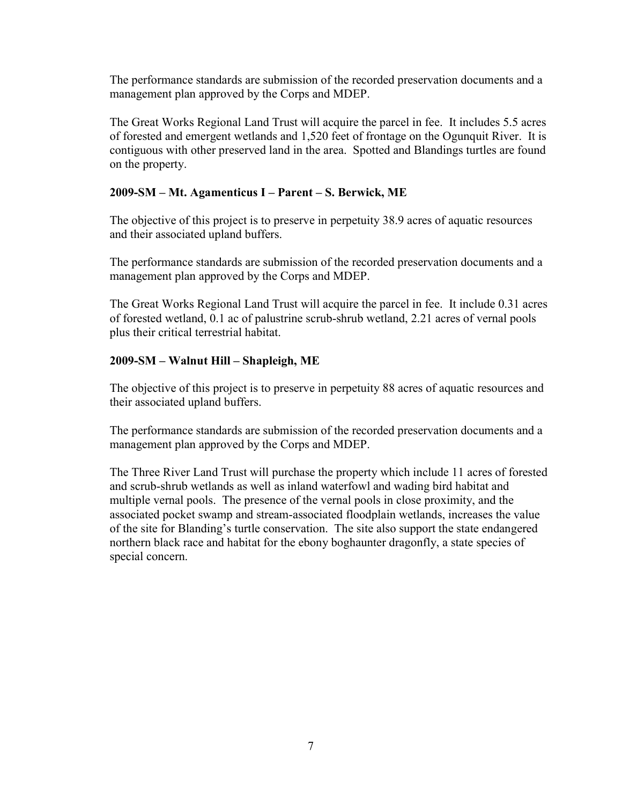The performance standards are submission of the recorded preservation documents and a management plan approved by the Corps and MDEP.

The Great Works Regional Land Trust will acquire the parcel in fee. It includes 5.5 acres of forested and emergent wetlands and 1,520 feet of frontage on the Ogunquit River. It is contiguous with other preserved land in the area. Spotted and Blandings turtles are found on the property.

# 2009-SM – Mt. Agamenticus I – Parent – S. Berwick, ME

The objective of this project is to preserve in perpetuity 38.9 acres of aquatic resources and their associated upland buffers.

The performance standards are submission of the recorded preservation documents and a management plan approved by the Corps and MDEP.

The Great Works Regional Land Trust will acquire the parcel in fee. It include 0.31 acres of forested wetland, 0.1 ac of palustrine scrub-shrub wetland, 2.21 acres of vernal pools plus their critical terrestrial habitat.

# 2009-SM – Walnut Hill – Shapleigh, ME

The objective of this project is to preserve in perpetuity 88 acres of aquatic resources and their associated upland buffers.

The performance standards are submission of the recorded preservation documents and a management plan approved by the Corps and MDEP.

The Three River Land Trust will purchase the property which include 11 acres of forested and scrub-shrub wetlands as well as inland waterfowl and wading bird habitat and multiple vernal pools. The presence of the vernal pools in close proximity, and the associated pocket swamp and stream-associated floodplain wetlands, increases the value of the site for Blanding's turtle conservation. The site also support the state endangered northern black race and habitat for the ebony boghaunter dragonfly, a state species of special concern.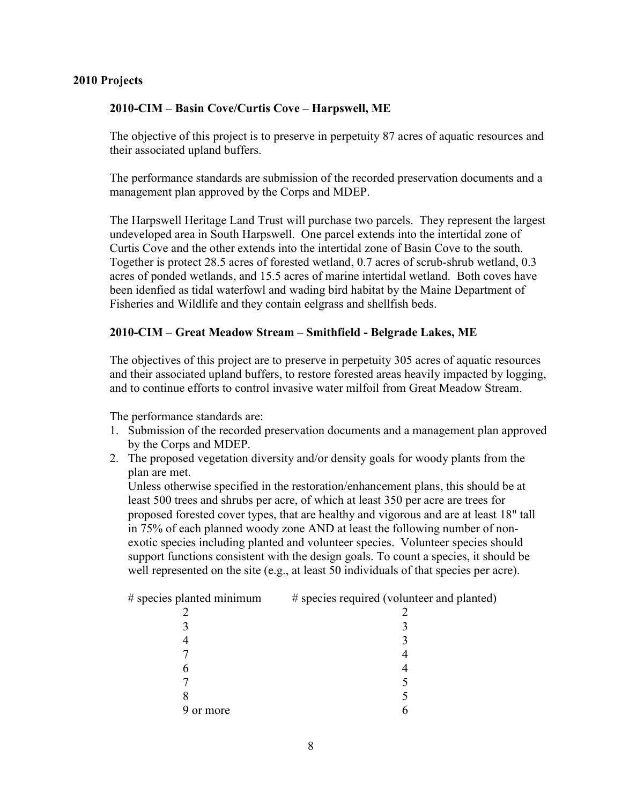#### 2010 Projects

#### 2010-CIM – Basin Cove/Curtis Cove – Harpswell, ME

The objective of this project is to preserve in perpetuity 87 acres of aquatic resources and their associated upland buffers.

The performance standards are submission of the recorded preservation documents and a management plan approved by the Corps and MDEP.

The Harpswell Heritage Land Trust will purchase two parcels. They represent the largest undeveloped area in South Harpswell. One parcel extends into the intertidal zone of Curtis Cove and the other extends into the intertidal zone of Basin Cove to the south. Together is protect 28.5 acres of forested wetland, 0.7 acres of scrub-shrub wetland, 0.3 acres of ponded wetlands, and 15.5 acres of marine intertidal wetland. Both coves have been idenfied as tidal waterfowl and wading bird habitat by the Maine Department of Fisheries and Wildlife and they contain eelgrass and shellfish beds.

#### 2010-CIM – Great Meadow Stream – Smithfield - Belgrade Lakes, ME

The objectives of this project are to preserve in perpetuity 305 acres of aquatic resources and their associated upland buffers, to restore forested areas heavily impacted by logging, and to continue efforts to control invasive water milfoil from Great Meadow Stream.

The performance standards are:

- 1. Submission of the recorded preservation documents and a management plan approved by the Corps and MDEP.
- 2. The proposed vegetation diversity and/or density goals for woody plants from the plan are met.

Unless otherwise specified in the restoration/enhancement plans, this should be at least 500 trees and shrubs per acre, of which at least 350 per acre are trees for proposed forested cover types, that are healthy and vigorous and are at least 18" tall in 75% of each planned woody zone AND at least the following number of nonexotic species including planted and volunteer species. Volunteer species should support functions consistent with the design goals. To count a species, it should be well represented on the site (e.g., at least 50 individuals of that species per acre).

| # species planted minimum | # species required (volunteer and planted) |
|---------------------------|--------------------------------------------|
|                           |                                            |
|                           |                                            |
|                           |                                            |
|                           |                                            |
|                           |                                            |
|                           |                                            |
|                           |                                            |
| 9 or more                 |                                            |
|                           |                                            |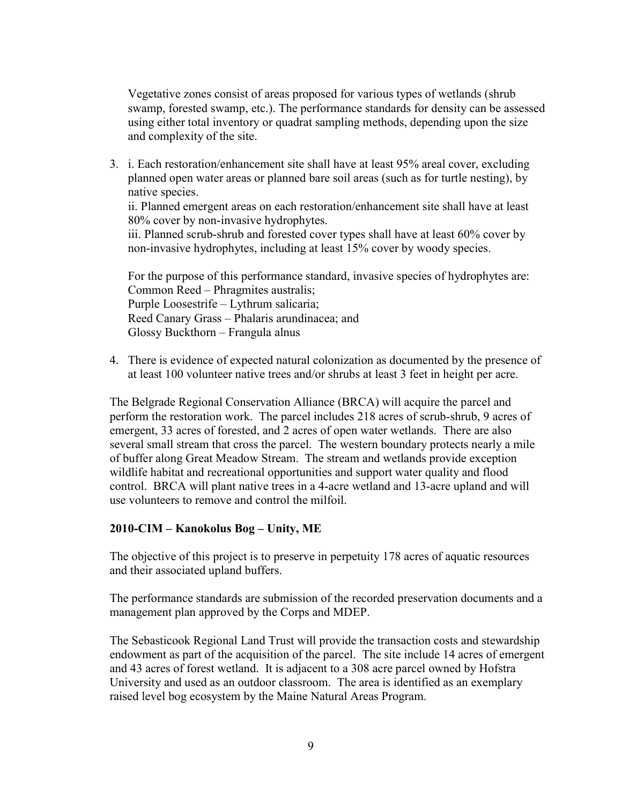Vegetative zones consist of areas proposed for various types of wetlands (shrub swamp, forested swamp, etc.). The performance standards for density can be assessed using either total inventory or quadrat sampling methods, depending upon the size and complexity of the site.

3. i. Each restoration/enhancement site shall have at least 95% areal cover, excluding planned open water areas or planned bare soil areas (such as for turtle nesting), by native species.

ii. Planned emergent areas on each restoration/enhancement site shall have at least 80% cover by non-invasive hydrophytes.

iii. Planned scrub-shrub and forested cover types shall have at least 60% cover by non-invasive hydrophytes, including at least 15% cover by woody species.

For the purpose of this performance standard, invasive species of hydrophytes are: Common Reed – Phragmites australis; Purple Loosestrife – Lythrum salicaria; Reed Canary Grass – Phalaris arundinacea; and Glossy Buckthorn – Frangula alnus

4. There is evidence of expected natural colonization as documented by the presence of at least 100 volunteer native trees and/or shrubs at least 3 feet in height per acre.

The Belgrade Regional Conservation Alliance (BRCA) will acquire the parcel and perform the restoration work. The parcel includes 218 acres of scrub-shrub, 9 acres of emergent, 33 acres of forested, and 2 acres of open water wetlands. There are also several small stream that cross the parcel. The western boundary protects nearly a mile of buffer along Great Meadow Stream. The stream and wetlands provide exception wildlife habitat and recreational opportunities and support water quality and flood control. BRCA will plant native trees in a 4-acre wetland and 13-acre upland and will use volunteers to remove and control the milfoil.

#### 2010-CIM – Kanokolus Bog – Unity, ME

The objective of this project is to preserve in perpetuity 178 acres of aquatic resources and their associated upland buffers.

The performance standards are submission of the recorded preservation documents and a management plan approved by the Corps and MDEP.

The Sebasticook Regional Land Trust will provide the transaction costs and stewardship endowment as part of the acquisition of the parcel. The site include 14 acres of emergent and 43 acres of forest wetland. It is adjacent to a 308 acre parcel owned by Hofstra University and used as an outdoor classroom. The area is identified as an exemplary raised level bog ecosystem by the Maine Natural Areas Program.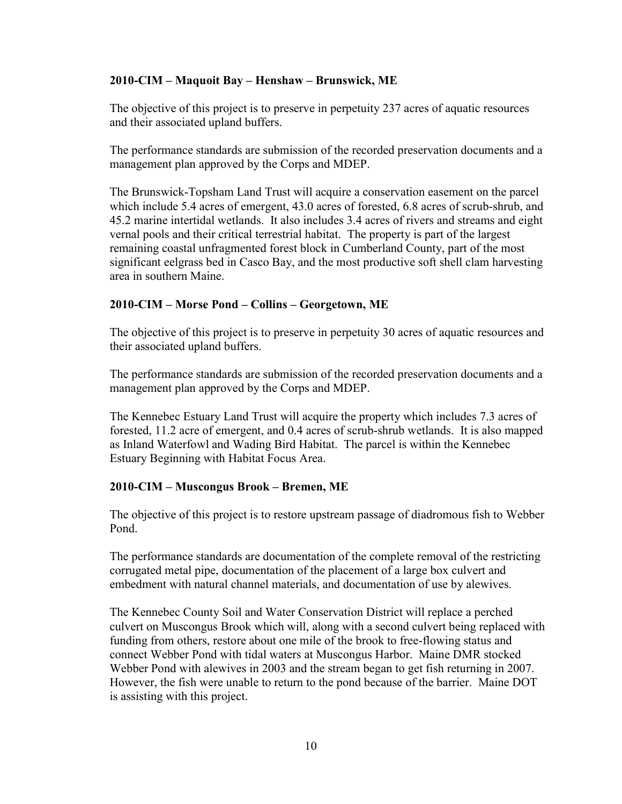#### 2010-CIM – Maquoit Bay – Henshaw – Brunswick, ME

The objective of this project is to preserve in perpetuity 237 acres of aquatic resources and their associated upland buffers.

The performance standards are submission of the recorded preservation documents and a management plan approved by the Corps and MDEP.

The Brunswick-Topsham Land Trust will acquire a conservation easement on the parcel which include 5.4 acres of emergent, 43.0 acres of forested, 6.8 acres of scrub-shrub, and 45.2 marine intertidal wetlands. It also includes 3.4 acres of rivers and streams and eight vernal pools and their critical terrestrial habitat. The property is part of the largest remaining coastal unfragmented forest block in Cumberland County, part of the most significant eelgrass bed in Casco Bay, and the most productive soft shell clam harvesting area in southern Maine.

#### 2010-CIM – Morse Pond – Collins – Georgetown, ME

The objective of this project is to preserve in perpetuity 30 acres of aquatic resources and their associated upland buffers.

The performance standards are submission of the recorded preservation documents and a management plan approved by the Corps and MDEP.

The Kennebec Estuary Land Trust will acquire the property which includes 7.3 acres of forested, 11.2 acre of emergent, and 0.4 acres of scrub-shrub wetlands. It is also mapped as Inland Waterfowl and Wading Bird Habitat. The parcel is within the Kennebec Estuary Beginning with Habitat Focus Area.

#### 2010-CIM – Muscongus Brook – Bremen, ME

The objective of this project is to restore upstream passage of diadromous fish to Webber Pond.

The performance standards are documentation of the complete removal of the restricting corrugated metal pipe, documentation of the placement of a large box culvert and embedment with natural channel materials, and documentation of use by alewives.

The Kennebec County Soil and Water Conservation District will replace a perched culvert on Muscongus Brook which will, along with a second culvert being replaced with funding from others, restore about one mile of the brook to free-flowing status and connect Webber Pond with tidal waters at Muscongus Harbor. Maine DMR stocked Webber Pond with alewives in 2003 and the stream began to get fish returning in 2007. However, the fish were unable to return to the pond because of the barrier. Maine DOT is assisting with this project.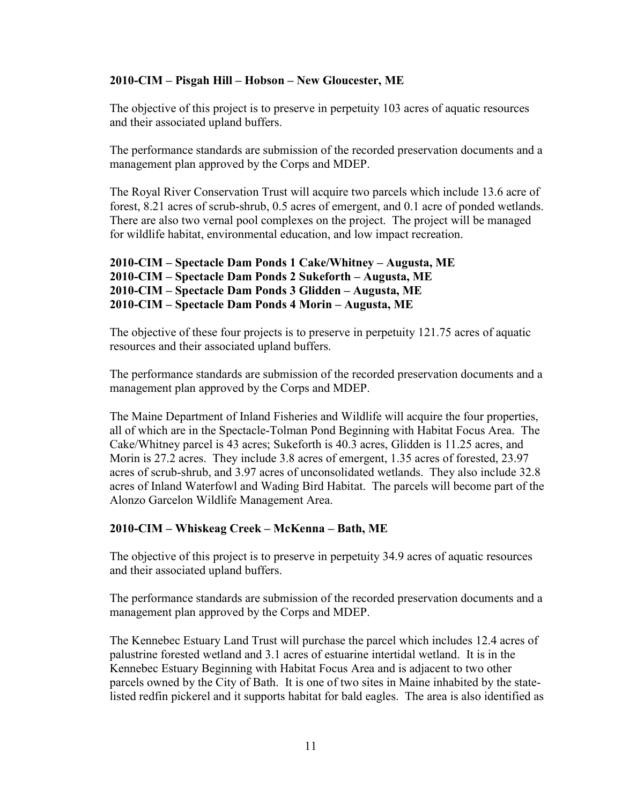#### 2010-CIM – Pisgah Hill – Hobson – New Gloucester, ME

The objective of this project is to preserve in perpetuity 103 acres of aquatic resources and their associated upland buffers.

The performance standards are submission of the recorded preservation documents and a management plan approved by the Corps and MDEP.

The Royal River Conservation Trust will acquire two parcels which include 13.6 acre of forest, 8.21 acres of scrub-shrub, 0.5 acres of emergent, and 0.1 acre of ponded wetlands. There are also two vernal pool complexes on the project. The project will be managed for wildlife habitat, environmental education, and low impact recreation.

```
 2010-CIM – Spectacle Dam Ponds 1 Cake/Whitney – Augusta, ME 
2010-CIM – Spectacle Dam Ponds 2 Sukeforth – Augusta, ME 
2010-CIM – Spectacle Dam Ponds 3 Glidden – Augusta, ME 
2010-CIM – Spectacle Dam Ponds 4 Morin – Augusta, ME
```
The objective of these four projects is to preserve in perpetuity 121.75 acres of aquatic resources and their associated upland buffers.

The performance standards are submission of the recorded preservation documents and a management plan approved by the Corps and MDEP.

The Maine Department of Inland Fisheries and Wildlife will acquire the four properties, all of which are in the Spectacle-Tolman Pond Beginning with Habitat Focus Area. The Cake/Whitney parcel is 43 acres; Sukeforth is 40.3 acres, Glidden is 11.25 acres, and Morin is 27.2 acres. They include 3.8 acres of emergent, 1.35 acres of forested, 23.97 acres of scrub-shrub, and 3.97 acres of unconsolidated wetlands. They also include 32.8 acres of Inland Waterfowl and Wading Bird Habitat. The parcels will become part of the Alonzo Garcelon Wildlife Management Area.

#### 2010-CIM – Whiskeag Creek – McKenna – Bath, ME

The objective of this project is to preserve in perpetuity 34.9 acres of aquatic resources and their associated upland buffers.

The performance standards are submission of the recorded preservation documents and a management plan approved by the Corps and MDEP.

The Kennebec Estuary Land Trust will purchase the parcel which includes 12.4 acres of palustrine forested wetland and 3.1 acres of estuarine intertidal wetland. It is in the Kennebec Estuary Beginning with Habitat Focus Area and is adjacent to two other parcels owned by the City of Bath. It is one of two sites in Maine inhabited by the statelisted redfin pickerel and it supports habitat for bald eagles. The area is also identified as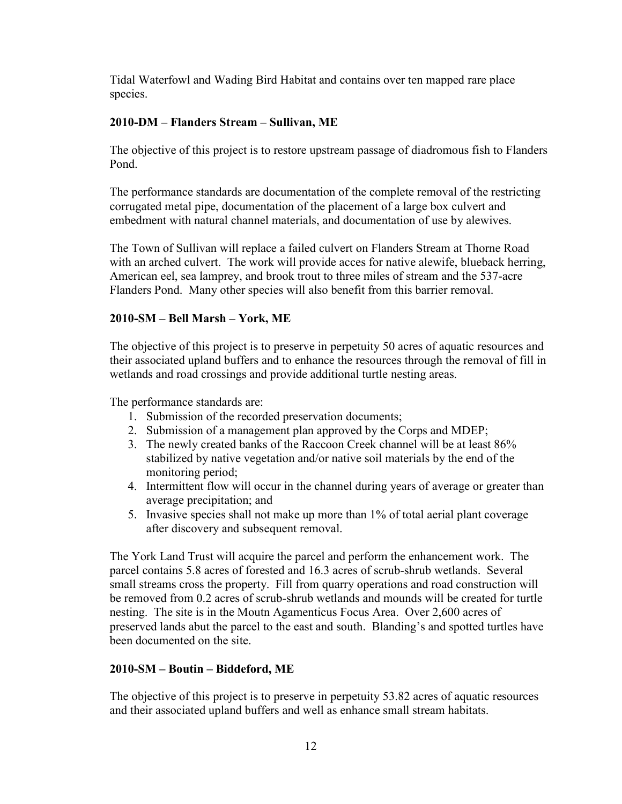Tidal Waterfowl and Wading Bird Habitat and contains over ten mapped rare place species.

### 2010-DM – Flanders Stream – Sullivan, ME

The objective of this project is to restore upstream passage of diadromous fish to Flanders Pond.

The performance standards are documentation of the complete removal of the restricting corrugated metal pipe, documentation of the placement of a large box culvert and embedment with natural channel materials, and documentation of use by alewives.

The Town of Sullivan will replace a failed culvert on Flanders Stream at Thorne Road with an arched culvert. The work will provide acces for native alewife, blueback herring, American eel, sea lamprey, and brook trout to three miles of stream and the 537-acre Flanders Pond. Many other species will also benefit from this barrier removal.

### 2010-SM – Bell Marsh – York, ME

The objective of this project is to preserve in perpetuity 50 acres of aquatic resources and their associated upland buffers and to enhance the resources through the removal of fill in wetlands and road crossings and provide additional turtle nesting areas.

The performance standards are:

- 1. Submission of the recorded preservation documents;
- 2. Submission of a management plan approved by the Corps and MDEP;
- 3. The newly created banks of the Raccoon Creek channel will be at least 86% stabilized by native vegetation and/or native soil materials by the end of the monitoring period;
- 4. Intermittent flow will occur in the channel during years of average or greater than average precipitation; and
- 5. Invasive species shall not make up more than 1% of total aerial plant coverage after discovery and subsequent removal.

The York Land Trust will acquire the parcel and perform the enhancement work. The parcel contains 5.8 acres of forested and 16.3 acres of scrub-shrub wetlands. Several small streams cross the property. Fill from quarry operations and road construction will be removed from 0.2 acres of scrub-shrub wetlands and mounds will be created for turtle nesting. The site is in the Moutn Agamenticus Focus Area. Over 2,600 acres of preserved lands abut the parcel to the east and south. Blanding's and spotted turtles have been documented on the site.

### 2010-SM – Boutin – Biddeford, ME

The objective of this project is to preserve in perpetuity 53.82 acres of aquatic resources and their associated upland buffers and well as enhance small stream habitats.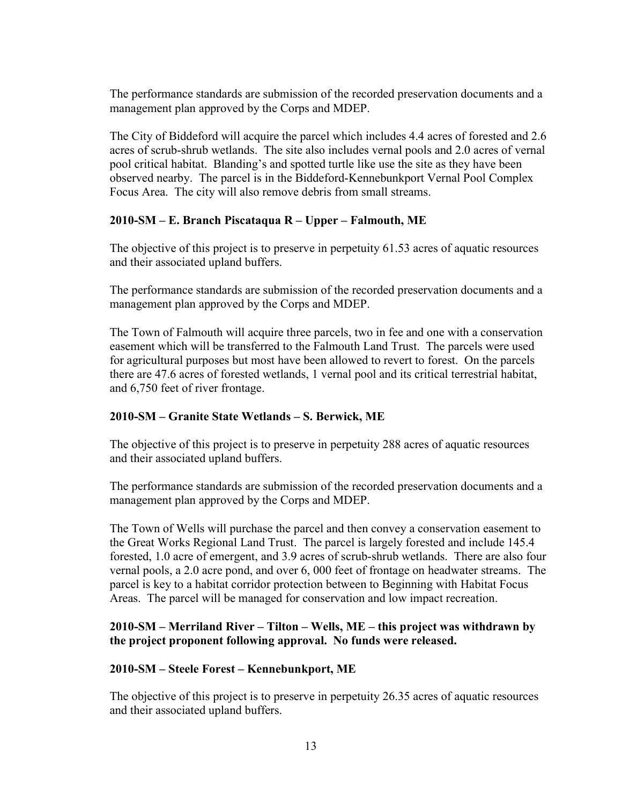The performance standards are submission of the recorded preservation documents and a management plan approved by the Corps and MDEP.

The City of Biddeford will acquire the parcel which includes 4.4 acres of forested and 2.6 acres of scrub-shrub wetlands. The site also includes vernal pools and 2.0 acres of vernal pool critical habitat. Blanding's and spotted turtle like use the site as they have been observed nearby. The parcel is in the Biddeford-Kennebunkport Vernal Pool Complex Focus Area. The city will also remove debris from small streams.

### 2010-SM – E. Branch Piscataqua R – Upper – Falmouth, ME

The objective of this project is to preserve in perpetuity 61.53 acres of aquatic resources and their associated upland buffers.

The performance standards are submission of the recorded preservation documents and a management plan approved by the Corps and MDEP.

The Town of Falmouth will acquire three parcels, two in fee and one with a conservation easement which will be transferred to the Falmouth Land Trust. The parcels were used for agricultural purposes but most have been allowed to revert to forest. On the parcels there are 47.6 acres of forested wetlands, 1 vernal pool and its critical terrestrial habitat, and 6,750 feet of river frontage.

### 2010-SM – Granite State Wetlands – S. Berwick, ME

The objective of this project is to preserve in perpetuity 288 acres of aquatic resources and their associated upland buffers.

The performance standards are submission of the recorded preservation documents and a management plan approved by the Corps and MDEP.

The Town of Wells will purchase the parcel and then convey a conservation easement to the Great Works Regional Land Trust. The parcel is largely forested and include 145.4 forested, 1.0 acre of emergent, and 3.9 acres of scrub-shrub wetlands. There are also four vernal pools, a 2.0 acre pond, and over 6, 000 feet of frontage on headwater streams. The parcel is key to a habitat corridor protection between to Beginning with Habitat Focus Areas. The parcel will be managed for conservation and low impact recreation.

### 2010-SM – Merriland River – Tilton – Wells, ME – this project was withdrawn by the project proponent following approval. No funds were released.

#### 2010-SM – Steele Forest – Kennebunkport, ME

The objective of this project is to preserve in perpetuity 26.35 acres of aquatic resources and their associated upland buffers.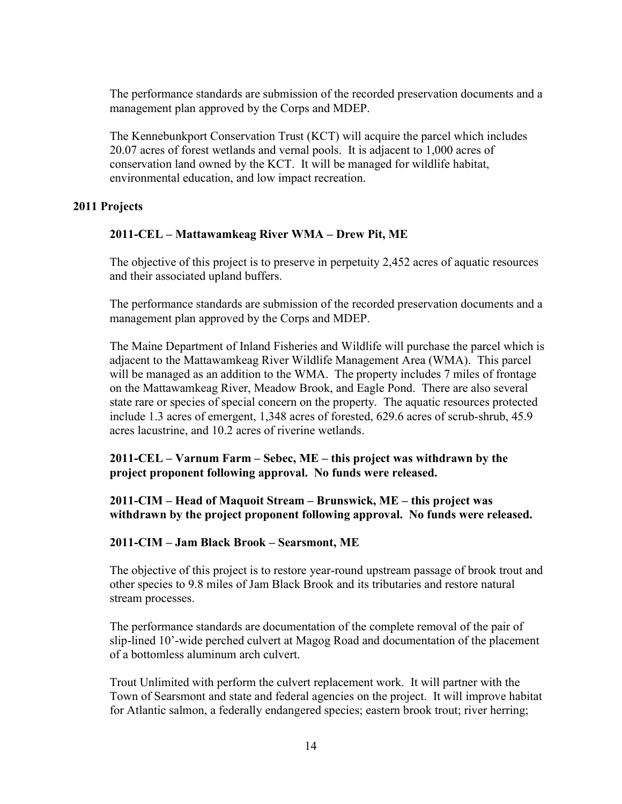The performance standards are submission of the recorded preservation documents and a management plan approved by the Corps and MDEP.

The Kennebunkport Conservation Trust (KCT) will acquire the parcel which includes 20.07 acres of forest wetlands and vernal pools. It is adjacent to 1,000 acres of conservation land owned by the KCT. It will be managed for wildlife habitat, environmental education, and low impact recreation.

#### 2011 Projects

#### 2011-CEL – Mattawamkeag River WMA – Drew Pit, ME

The objective of this project is to preserve in perpetuity 2,452 acres of aquatic resources and their associated upland buffers.

The performance standards are submission of the recorded preservation documents and a management plan approved by the Corps and MDEP.

The Maine Department of Inland Fisheries and Wildlife will purchase the parcel which is adjacent to the Mattawamkeag River Wildlife Management Area (WMA). This parcel will be managed as an addition to the WMA. The property includes 7 miles of frontage on the Mattawamkeag River, Meadow Brook, and Eagle Pond. There are also several state rare or species of special concern on the property. The aquatic resources protected include 1.3 acres of emergent, 1,348 acres of forested, 629.6 acres of scrub-shrub, 45.9 acres lacustrine, and 10.2 acres of riverine wetlands.

 2011-CEL – Varnum Farm – Sebec, ME – this project was withdrawn by the project proponent following approval. No funds were released.

 2011-CIM – Head of Maquoit Stream – Brunswick, ME – this project was withdrawn by the project proponent following approval. No funds were released.

#### 2011-CIM – Jam Black Brook – Searsmont, ME

The objective of this project is to restore year-round upstream passage of brook trout and other species to 9.8 miles of Jam Black Brook and its tributaries and restore natural stream processes.

The performance standards are documentation of the complete removal of the pair of slip-lined 10'-wide perched culvert at Magog Road and documentation of the placement of a bottomless aluminum arch culvert.

Trout Unlimited with perform the culvert replacement work. It will partner with the Town of Searsmont and state and federal agencies on the project. It will improve habitat for Atlantic salmon, a federally endangered species; eastern brook trout; river herring;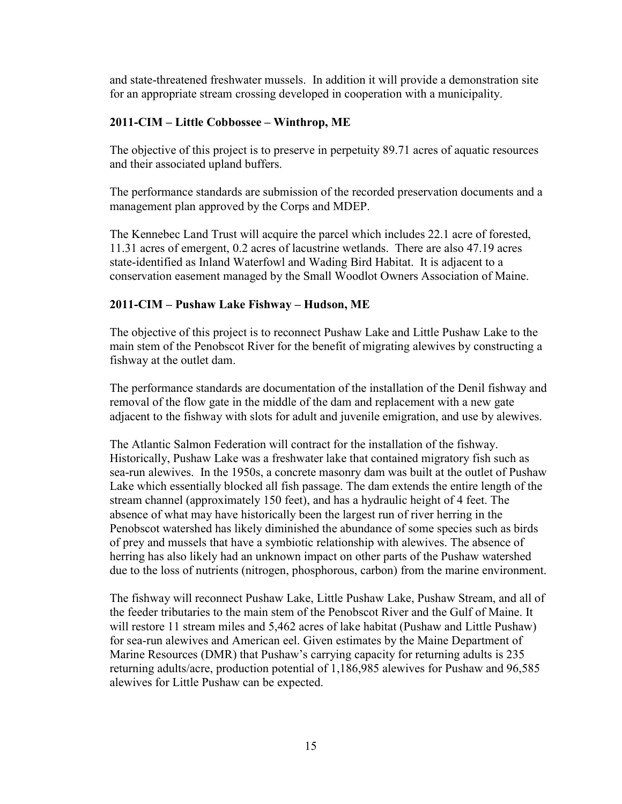and state-threatened freshwater mussels. In addition it will provide a demonstration site for an appropriate stream crossing developed in cooperation with a municipality.

### 2011-CIM – Little Cobbossee – Winthrop, ME

The objective of this project is to preserve in perpetuity 89.71 acres of aquatic resources and their associated upland buffers.

The performance standards are submission of the recorded preservation documents and a management plan approved by the Corps and MDEP.

The Kennebec Land Trust will acquire the parcel which includes 22.1 acre of forested, 11.31 acres of emergent, 0.2 acres of lacustrine wetlands. There are also 47.19 acres state-identified as Inland Waterfowl and Wading Bird Habitat. It is adjacent to a conservation easement managed by the Small Woodlot Owners Association of Maine.

# 2011-CIM – Pushaw Lake Fishway – Hudson, ME

The objective of this project is to reconnect Pushaw Lake and Little Pushaw Lake to the main stem of the Penobscot River for the benefit of migrating alewives by constructing a fishway at the outlet dam.

The performance standards are documentation of the installation of the Denil fishway and removal of the flow gate in the middle of the dam and replacement with a new gate adjacent to the fishway with slots for adult and juvenile emigration, and use by alewives.

The Atlantic Salmon Federation will contract for the installation of the fishway. Historically, Pushaw Lake was a freshwater lake that contained migratory fish such as sea‐run alewives. In the 1950s, a concrete masonry dam was built at the outlet of Pushaw Lake which essentially blocked all fish passage. The dam extends the entire length of the stream channel (approximately 150 feet), and has a hydraulic height of 4 feet. The absence of what may have historically been the largest run of river herring in the Penobscot watershed has likely diminished the abundance of some species such as birds of prey and mussels that have a symbiotic relationship with alewives. The absence of herring has also likely had an unknown impact on other parts of the Pushaw watershed due to the loss of nutrients (nitrogen, phosphorous, carbon) from the marine environment.

The fishway will reconnect Pushaw Lake, Little Pushaw Lake, Pushaw Stream, and all of the feeder tributaries to the main stem of the Penobscot River and the Gulf of Maine. It will restore 11 stream miles and 5.462 acres of lake habitat (Pushaw and Little Pushaw) for sea-run alewives and American eel. Given estimates by the Maine Department of Marine Resources (DMR) that Pushaw's carrying capacity for returning adults is 235 returning adults/acre, production potential of 1,186,985 alewives for Pushaw and 96,585 alewives for Little Pushaw can be expected.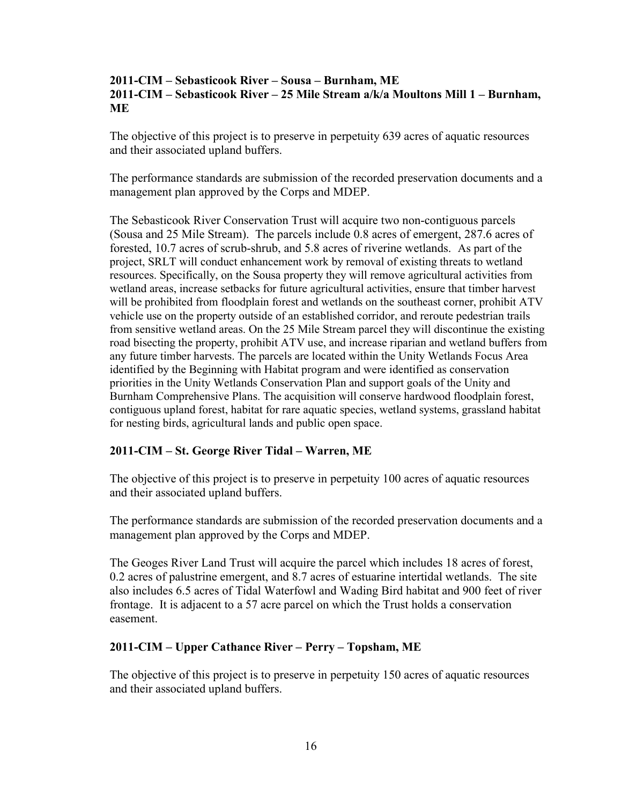#### 2011-CIM – Sebasticook River – Sousa – Burnham, ME 2011-CIM – Sebasticook River – 25 Mile Stream a/k/a Moultons Mill 1 – Burnham, ME

The objective of this project is to preserve in perpetuity 639 acres of aquatic resources and their associated upland buffers.

The performance standards are submission of the recorded preservation documents and a management plan approved by the Corps and MDEP.

The Sebasticook River Conservation Trust will acquire two non-contiguous parcels (Sousa and 25 Mile Stream). The parcels include 0.8 acres of emergent, 287.6 acres of forested, 10.7 acres of scrub-shrub, and 5.8 acres of riverine wetlands. As part of the project, SRLT will conduct enhancement work by removal of existing threats to wetland resources. Specifically, on the Sousa property they will remove agricultural activities from wetland areas, increase setbacks for future agricultural activities, ensure that timber harvest will be prohibited from floodplain forest and wetlands on the southeast corner, prohibit ATV vehicle use on the property outside of an established corridor, and reroute pedestrian trails from sensitive wetland areas. On the 25 Mile Stream parcel they will discontinue the existing road bisecting the property, prohibit ATV use, and increase riparian and wetland buffers from any future timber harvests. The parcels are located within the Unity Wetlands Focus Area identified by the Beginning with Habitat program and were identified as conservation priorities in the Unity Wetlands Conservation Plan and support goals of the Unity and Burnham Comprehensive Plans. The acquisition will conserve hardwood floodplain forest, contiguous upland forest, habitat for rare aquatic species, wetland systems, grassland habitat for nesting birds, agricultural lands and public open space.

### 2011-CIM – St. George River Tidal – Warren, ME

The objective of this project is to preserve in perpetuity 100 acres of aquatic resources and their associated upland buffers.

The performance standards are submission of the recorded preservation documents and a management plan approved by the Corps and MDEP.

The Geoges River Land Trust will acquire the parcel which includes 18 acres of forest, 0.2 acres of palustrine emergent, and 8.7 acres of estuarine intertidal wetlands. The site also includes 6.5 acres of Tidal Waterfowl and Wading Bird habitat and 900 feet of river frontage. It is adjacent to a 57 acre parcel on which the Trust holds a conservation easement.

#### 2011-CIM – Upper Cathance River – Perry – Topsham, ME

The objective of this project is to preserve in perpetuity 150 acres of aquatic resources and their associated upland buffers.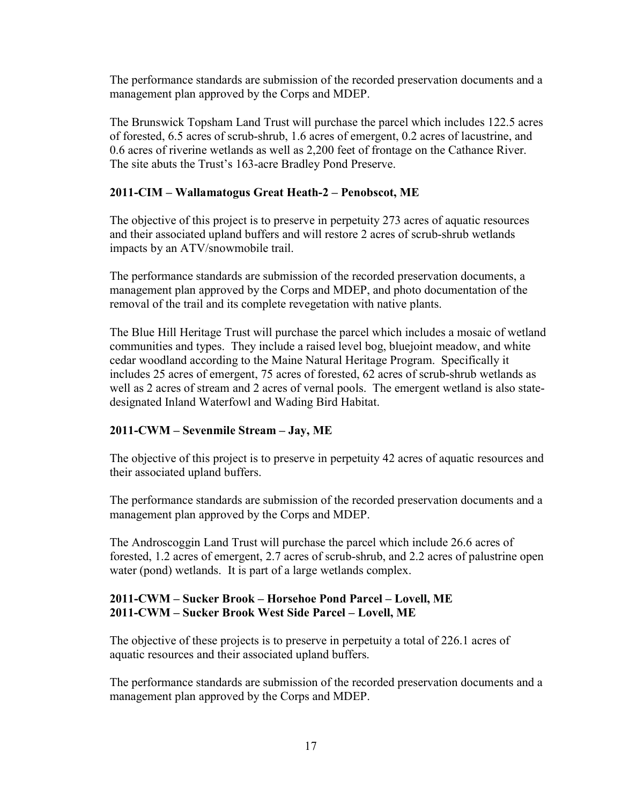The performance standards are submission of the recorded preservation documents and a management plan approved by the Corps and MDEP.

The Brunswick Topsham Land Trust will purchase the parcel which includes 122.5 acres of forested, 6.5 acres of scrub-shrub, 1.6 acres of emergent, 0.2 acres of lacustrine, and 0.6 acres of riverine wetlands as well as 2,200 feet of frontage on the Cathance River. The site abuts the Trust's 163-acre Bradley Pond Preserve.

#### 2011-CIM – Wallamatogus Great Heath-2 – Penobscot, ME

The objective of this project is to preserve in perpetuity 273 acres of aquatic resources and their associated upland buffers and will restore 2 acres of scrub-shrub wetlands impacts by an ATV/snowmobile trail.

The performance standards are submission of the recorded preservation documents, a management plan approved by the Corps and MDEP, and photo documentation of the removal of the trail and its complete revegetation with native plants.

The Blue Hill Heritage Trust will purchase the parcel which includes a mosaic of wetland communities and types. They include a raised level bog, bluejoint meadow, and white cedar woodland according to the Maine Natural Heritage Program. Specifically it includes 25 acres of emergent, 75 acres of forested, 62 acres of scrub-shrub wetlands as well as 2 acres of stream and 2 acres of vernal pools. The emergent wetland is also statedesignated Inland Waterfowl and Wading Bird Habitat.

### 2011-CWM – Sevenmile Stream – Jay, ME

The objective of this project is to preserve in perpetuity 42 acres of aquatic resources and their associated upland buffers.

The performance standards are submission of the recorded preservation documents and a management plan approved by the Corps and MDEP.

The Androscoggin Land Trust will purchase the parcel which include 26.6 acres of forested, 1.2 acres of emergent, 2.7 acres of scrub-shrub, and 2.2 acres of palustrine open water (pond) wetlands. It is part of a large wetlands complex.

#### 2011-CWM – Sucker Brook – Horsehoe Pond Parcel – Lovell, ME 2011-CWM – Sucker Brook West Side Parcel – Lovell, ME

The objective of these projects is to preserve in perpetuity a total of 226.1 acres of aquatic resources and their associated upland buffers.

The performance standards are submission of the recorded preservation documents and a management plan approved by the Corps and MDEP.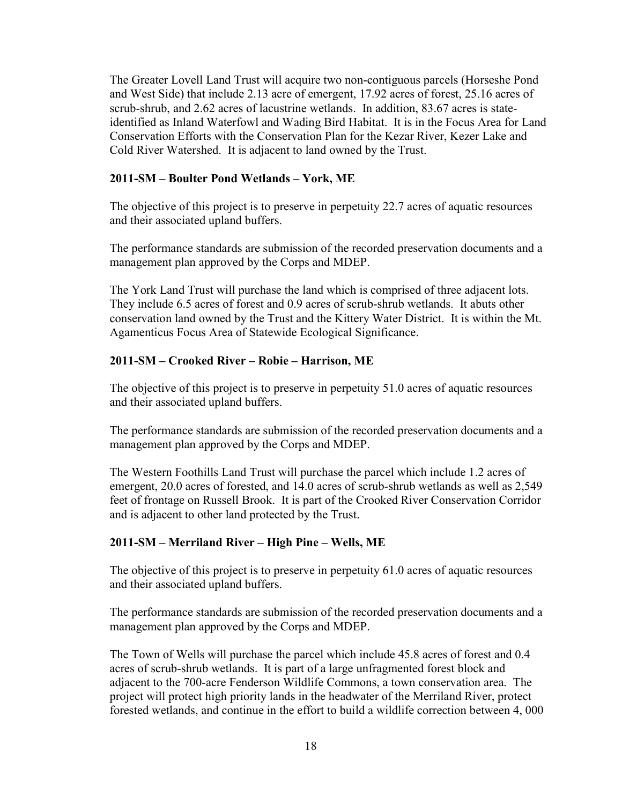The Greater Lovell Land Trust will acquire two non-contiguous parcels (Horseshe Pond and West Side) that include 2.13 acre of emergent, 17.92 acres of forest, 25.16 acres of scrub-shrub, and 2.62 acres of lacustrine wetlands. In addition, 83.67 acres is stateidentified as Inland Waterfowl and Wading Bird Habitat. It is in the Focus Area for Land Conservation Efforts with the Conservation Plan for the Kezar River, Kezer Lake and Cold River Watershed. It is adjacent to land owned by the Trust.

#### 2011-SM – Boulter Pond Wetlands – York, ME

The objective of this project is to preserve in perpetuity 22.7 acres of aquatic resources and their associated upland buffers.

The performance standards are submission of the recorded preservation documents and a management plan approved by the Corps and MDEP.

The York Land Trust will purchase the land which is comprised of three adjacent lots. They include 6.5 acres of forest and 0.9 acres of scrub-shrub wetlands. It abuts other conservation land owned by the Trust and the Kittery Water District. It is within the Mt. Agamenticus Focus Area of Statewide Ecological Significance.

#### 2011-SM – Crooked River – Robie – Harrison, ME

The objective of this project is to preserve in perpetuity 51.0 acres of aquatic resources and their associated upland buffers.

The performance standards are submission of the recorded preservation documents and a management plan approved by the Corps and MDEP.

The Western Foothills Land Trust will purchase the parcel which include 1.2 acres of emergent, 20.0 acres of forested, and 14.0 acres of scrub-shrub wetlands as well as 2,549 feet of frontage on Russell Brook. It is part of the Crooked River Conservation Corridor and is adjacent to other land protected by the Trust.

#### 2011-SM – Merriland River – High Pine – Wells, ME

The objective of this project is to preserve in perpetuity 61.0 acres of aquatic resources and their associated upland buffers.

The performance standards are submission of the recorded preservation documents and a management plan approved by the Corps and MDEP.

The Town of Wells will purchase the parcel which include 45.8 acres of forest and 0.4 acres of scrub-shrub wetlands. It is part of a large unfragmented forest block and adjacent to the 700-acre Fenderson Wildlife Commons, a town conservation area. The project will protect high priority lands in the headwater of the Merriland River, protect forested wetlands, and continue in the effort to build a wildlife correction between 4, 000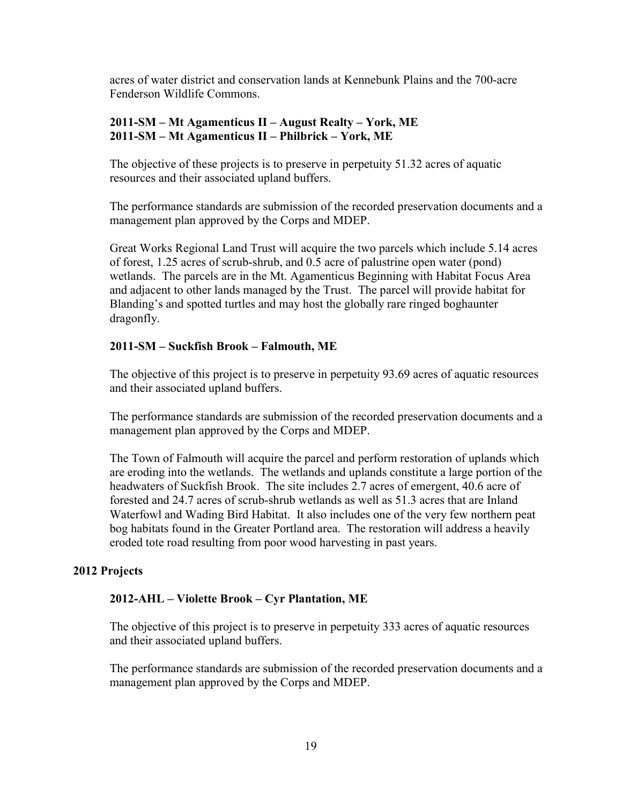acres of water district and conservation lands at Kennebunk Plains and the 700-acre Fenderson Wildlife Commons.

#### 2011-SM – Mt Agamenticus II – August Realty – York, ME 2011-SM – Mt Agamenticus II – Philbrick – York, ME

The objective of these projects is to preserve in perpetuity 51.32 acres of aquatic resources and their associated upland buffers.

The performance standards are submission of the recorded preservation documents and a management plan approved by the Corps and MDEP.

Great Works Regional Land Trust will acquire the two parcels which include 5.14 acres of forest, 1.25 acres of scrub-shrub, and 0.5 acre of palustrine open water (pond) wetlands. The parcels are in the Mt. Agamenticus Beginning with Habitat Focus Area and adjacent to other lands managed by the Trust. The parcel will provide habitat for Blanding's and spotted turtles and may host the globally rare ringed boghaunter dragonfly.

#### 2011-SM – Suckfish Brook – Falmouth, ME

The objective of this project is to preserve in perpetuity 93.69 acres of aquatic resources and their associated upland buffers.

The performance standards are submission of the recorded preservation documents and a management plan approved by the Corps and MDEP.

The Town of Falmouth will acquire the parcel and perform restoration of uplands which are eroding into the wetlands. The wetlands and uplands constitute a large portion of the headwaters of Suckfish Brook. The site includes 2.7 acres of emergent, 40.6 acre of forested and 24.7 acres of scrub-shrub wetlands as well as 51.3 acres that are Inland Waterfowl and Wading Bird Habitat. It also includes one of the very few northern peat bog habitats found in the Greater Portland area. The restoration will address a heavily eroded tote road resulting from poor wood harvesting in past years.

#### 2012 Projects

#### 2012-AHL – Violette Brook – Cyr Plantation, ME

The objective of this project is to preserve in perpetuity 333 acres of aquatic resources and their associated upland buffers.

The performance standards are submission of the recorded preservation documents and a management plan approved by the Corps and MDEP.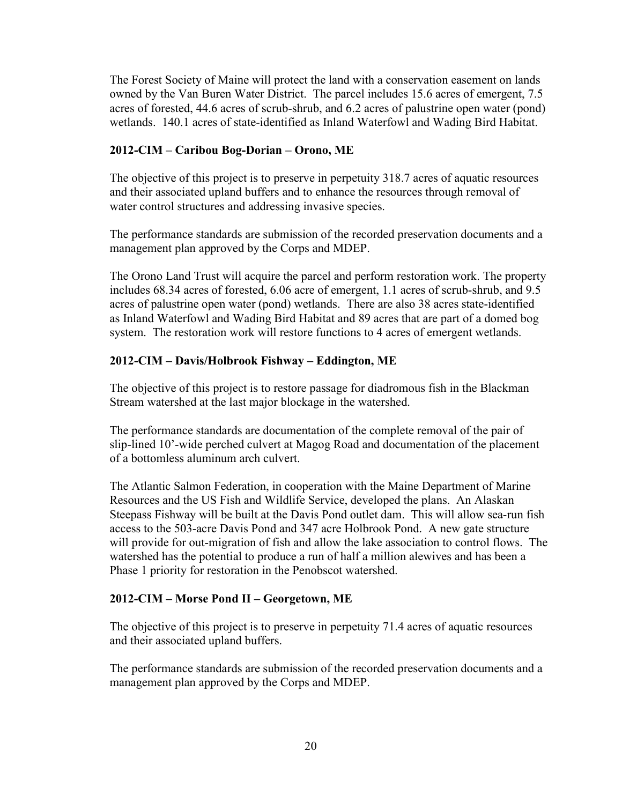The Forest Society of Maine will protect the land with a conservation easement on lands owned by the Van Buren Water District. The parcel includes 15.6 acres of emergent, 7.5 acres of forested, 44.6 acres of scrub-shrub, and 6.2 acres of palustrine open water (pond) wetlands. 140.1 acres of state-identified as Inland Waterfowl and Wading Bird Habitat.

### 2012-CIM – Caribou Bog-Dorian – Orono, ME

The objective of this project is to preserve in perpetuity 318.7 acres of aquatic resources and their associated upland buffers and to enhance the resources through removal of water control structures and addressing invasive species.

The performance standards are submission of the recorded preservation documents and a management plan approved by the Corps and MDEP.

The Orono Land Trust will acquire the parcel and perform restoration work. The property includes 68.34 acres of forested, 6.06 acre of emergent, 1.1 acres of scrub-shrub, and 9.5 acres of palustrine open water (pond) wetlands. There are also 38 acres state-identified as Inland Waterfowl and Wading Bird Habitat and 89 acres that are part of a domed bog system. The restoration work will restore functions to 4 acres of emergent wetlands.

### 2012-CIM – Davis/Holbrook Fishway – Eddington, ME

The objective of this project is to restore passage for diadromous fish in the Blackman Stream watershed at the last major blockage in the watershed.

The performance standards are documentation of the complete removal of the pair of slip-lined 10'-wide perched culvert at Magog Road and documentation of the placement of a bottomless aluminum arch culvert.

The Atlantic Salmon Federation, in cooperation with the Maine Department of Marine Resources and the US Fish and Wildlife Service, developed the plans. An Alaskan Steepass Fishway will be built at the Davis Pond outlet dam. This will allow sea-run fish access to the 503-acre Davis Pond and 347 acre Holbrook Pond. A new gate structure will provide for out-migration of fish and allow the lake association to control flows. The watershed has the potential to produce a run of half a million alewives and has been a Phase 1 priority for restoration in the Penobscot watershed.

### 2012-CIM – Morse Pond II – Georgetown, ME

The objective of this project is to preserve in perpetuity 71.4 acres of aquatic resources and their associated upland buffers.

The performance standards are submission of the recorded preservation documents and a management plan approved by the Corps and MDEP.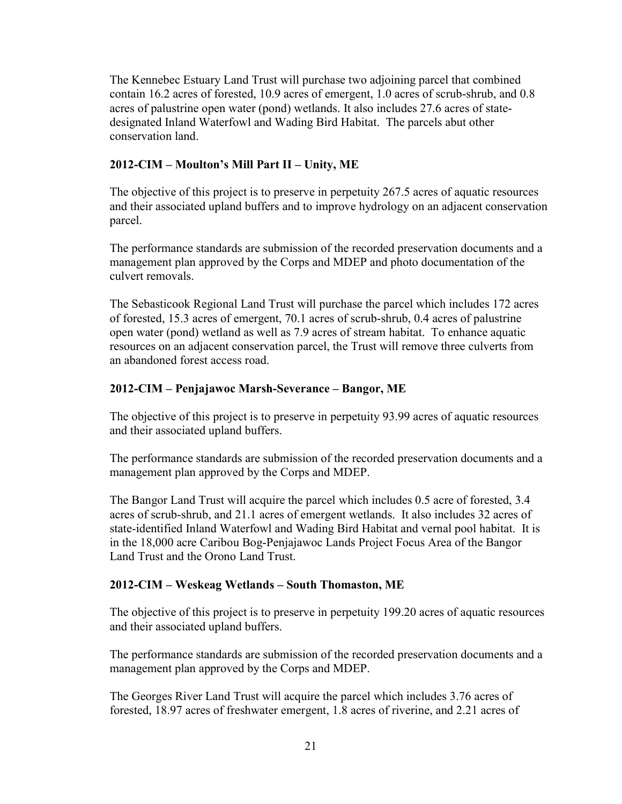The Kennebec Estuary Land Trust will purchase two adjoining parcel that combined contain 16.2 acres of forested, 10.9 acres of emergent, 1.0 acres of scrub-shrub, and 0.8 acres of palustrine open water (pond) wetlands. It also includes 27.6 acres of statedesignated Inland Waterfowl and Wading Bird Habitat. The parcels abut other conservation land.

# 2012-CIM – Moulton's Mill Part II – Unity, ME

The objective of this project is to preserve in perpetuity 267.5 acres of aquatic resources and their associated upland buffers and to improve hydrology on an adjacent conservation parcel.

The performance standards are submission of the recorded preservation documents and a management plan approved by the Corps and MDEP and photo documentation of the culvert removals.

The Sebasticook Regional Land Trust will purchase the parcel which includes 172 acres of forested, 15.3 acres of emergent, 70.1 acres of scrub-shrub, 0.4 acres of palustrine open water (pond) wetland as well as 7.9 acres of stream habitat. To enhance aquatic resources on an adjacent conservation parcel, the Trust will remove three culverts from an abandoned forest access road.

# 2012-CIM – Penjajawoc Marsh-Severance – Bangor, ME

The objective of this project is to preserve in perpetuity 93.99 acres of aquatic resources and their associated upland buffers.

The performance standards are submission of the recorded preservation documents and a management plan approved by the Corps and MDEP.

The Bangor Land Trust will acquire the parcel which includes 0.5 acre of forested, 3.4 acres of scrub-shrub, and 21.1 acres of emergent wetlands. It also includes 32 acres of state-identified Inland Waterfowl and Wading Bird Habitat and vernal pool habitat. It is in the 18,000 acre Caribou Bog-Penjajawoc Lands Project Focus Area of the Bangor Land Trust and the Orono Land Trust.

### 2012-CIM – Weskeag Wetlands – South Thomaston, ME

The objective of this project is to preserve in perpetuity 199.20 acres of aquatic resources and their associated upland buffers.

The performance standards are submission of the recorded preservation documents and a management plan approved by the Corps and MDEP.

The Georges River Land Trust will acquire the parcel which includes 3.76 acres of forested, 18.97 acres of freshwater emergent, 1.8 acres of riverine, and 2.21 acres of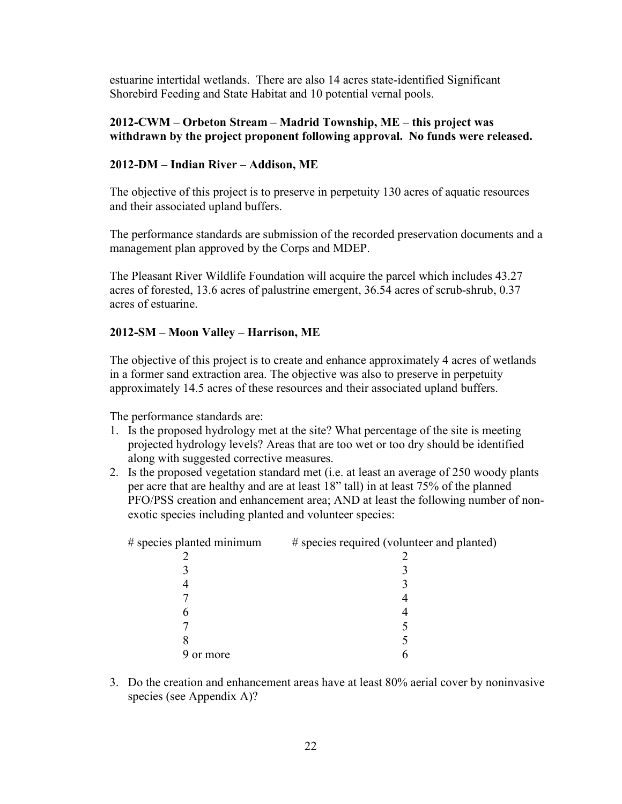estuarine intertidal wetlands. There are also 14 acres state-identified Significant Shorebird Feeding and State Habitat and 10 potential vernal pools.

#### 2012-CWM – Orbeton Stream – Madrid Township, ME – this project was withdrawn by the project proponent following approval. No funds were released.

#### 2012-DM – Indian River – Addison, ME

The objective of this project is to preserve in perpetuity 130 acres of aquatic resources and their associated upland buffers.

The performance standards are submission of the recorded preservation documents and a management plan approved by the Corps and MDEP.

The Pleasant River Wildlife Foundation will acquire the parcel which includes 43.27 acres of forested, 13.6 acres of palustrine emergent, 36.54 acres of scrub-shrub, 0.37 acres of estuarine.

#### 2012-SM – Moon Valley – Harrison, ME

The objective of this project is to create and enhance approximately 4 acres of wetlands in a former sand extraction area. The objective was also to preserve in perpetuity approximately 14.5 acres of these resources and their associated upland buffers.

The performance standards are:

- 1. Is the proposed hydrology met at the site? What percentage of the site is meeting projected hydrology levels? Areas that are too wet or too dry should be identified along with suggested corrective measures.
- 2. Is the proposed vegetation standard met (i.e. at least an average of 250 woody plants per acre that are healthy and are at least 18" tall) in at least 75% of the planned PFO/PSS creation and enhancement area; AND at least the following number of nonexotic species including planted and volunteer species:

| # species planted minimum | # species required (volunteer and planted) |
|---------------------------|--------------------------------------------|
|                           |                                            |
|                           |                                            |
|                           |                                            |
|                           |                                            |
|                           |                                            |
|                           |                                            |
|                           |                                            |
| 9 or more                 |                                            |
|                           |                                            |

3. Do the creation and enhancement areas have at least 80% aerial cover by noninvasive species (see Appendix A)?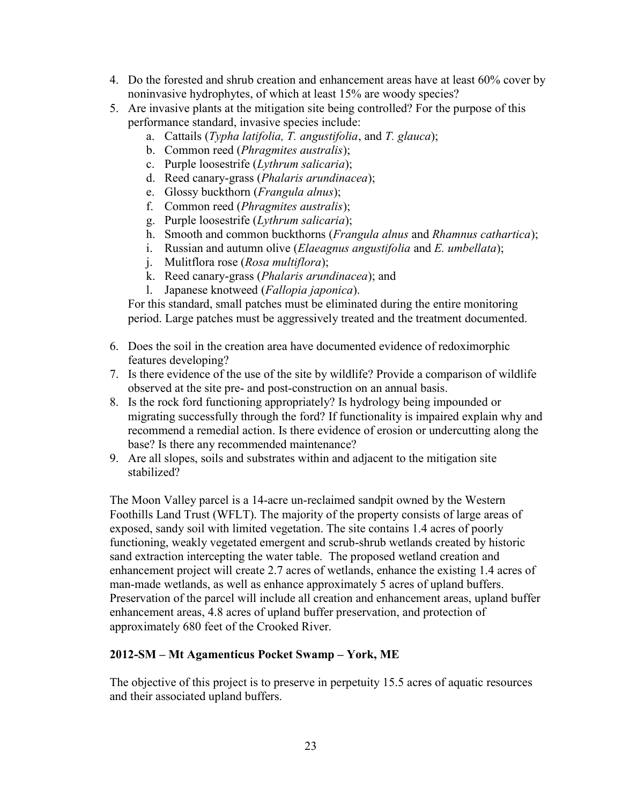- 4. Do the forested and shrub creation and enhancement areas have at least 60% cover by noninvasive hydrophytes, of which at least 15% are woody species?
- 5. Are invasive plants at the mitigation site being controlled? For the purpose of this performance standard, invasive species include:
	- a. Cattails (Typha latifolia, T. angustifolia, and T. glauca);
	- b. Common reed (Phragmites australis);
	- c. Purple loosestrife (Lythrum salicaria);
	- d. Reed canary-grass (Phalaris arundinacea);
	- e. Glossy buckthorn (Frangula alnus);
	- f. Common reed (Phragmites australis);
	- g. Purple loosestrife (Lythrum salicaria);
	- h. Smooth and common buckthorns (Frangula alnus and Rhamnus cathartica);
	- i. Russian and autumn olive *(Elaeagnus angustifolia* and  $E$ . *umbellata)*;
	- j. Mulitflora rose (Rosa multiflora);
	- k. Reed canary-grass (Phalaris arundinacea); and
	- l. Japanese knotweed (Fallopia japonica).

For this standard, small patches must be eliminated during the entire monitoring period. Large patches must be aggressively treated and the treatment documented.

- 6. Does the soil in the creation area have documented evidence of redoximorphic features developing?
- 7. Is there evidence of the use of the site by wildlife? Provide a comparison of wildlife observed at the site pre- and post-construction on an annual basis.
- 8. Is the rock ford functioning appropriately? Is hydrology being impounded or migrating successfully through the ford? If functionality is impaired explain why and recommend a remedial action. Is there evidence of erosion or undercutting along the base? Is there any recommended maintenance?
- 9. Are all slopes, soils and substrates within and adjacent to the mitigation site stabilized?

The Moon Valley parcel is a 14-acre un-reclaimed sandpit owned by the Western Foothills Land Trust (WFLT). The majority of the property consists of large areas of exposed, sandy soil with limited vegetation. The site contains 1.4 acres of poorly functioning, weakly vegetated emergent and scrub-shrub wetlands created by historic sand extraction intercepting the water table. The proposed wetland creation and enhancement project will create 2.7 acres of wetlands, enhance the existing 1.4 acres of man-made wetlands, as well as enhance approximately 5 acres of upland buffers. Preservation of the parcel will include all creation and enhancement areas, upland buffer enhancement areas, 4.8 acres of upland buffer preservation, and protection of approximately 680 feet of the Crooked River.

#### 2012-SM – Mt Agamenticus Pocket Swamp – York, ME

The objective of this project is to preserve in perpetuity 15.5 acres of aquatic resources and their associated upland buffers.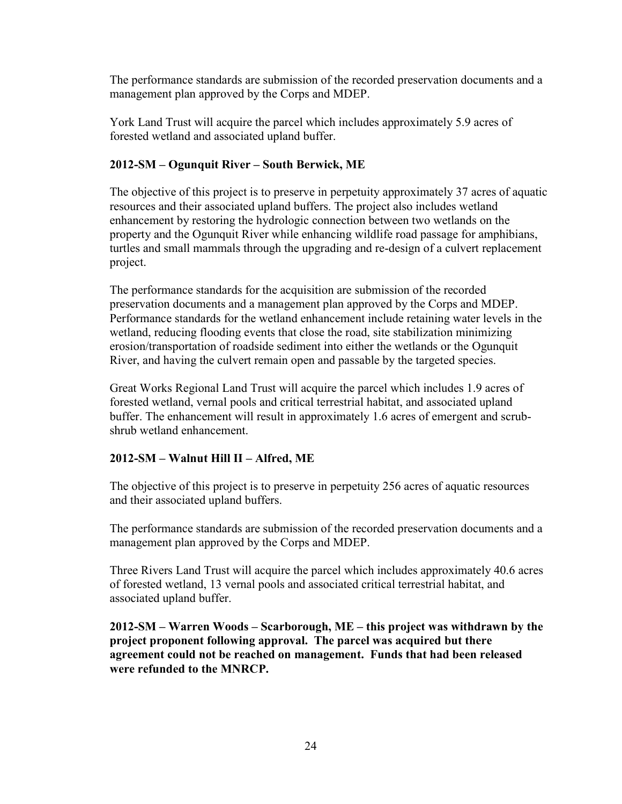The performance standards are submission of the recorded preservation documents and a management plan approved by the Corps and MDEP.

York Land Trust will acquire the parcel which includes approximately 5.9 acres of forested wetland and associated upland buffer.

# 2012-SM – Ogunquit River – South Berwick, ME

The objective of this project is to preserve in perpetuity approximately 37 acres of aquatic resources and their associated upland buffers. The project also includes wetland enhancement by restoring the hydrologic connection between two wetlands on the property and the Ogunquit River while enhancing wildlife road passage for amphibians, turtles and small mammals through the upgrading and re-design of a culvert replacement project.

The performance standards for the acquisition are submission of the recorded preservation documents and a management plan approved by the Corps and MDEP. Performance standards for the wetland enhancement include retaining water levels in the wetland, reducing flooding events that close the road, site stabilization minimizing erosion/transportation of roadside sediment into either the wetlands or the Ogunquit River, and having the culvert remain open and passable by the targeted species.

Great Works Regional Land Trust will acquire the parcel which includes 1.9 acres of forested wetland, vernal pools and critical terrestrial habitat, and associated upland buffer. The enhancement will result in approximately 1.6 acres of emergent and scrubshrub wetland enhancement.

# 2012-SM – Walnut Hill II – Alfred, ME

The objective of this project is to preserve in perpetuity 256 acres of aquatic resources and their associated upland buffers.

The performance standards are submission of the recorded preservation documents and a management plan approved by the Corps and MDEP.

Three Rivers Land Trust will acquire the parcel which includes approximately 40.6 acres of forested wetland, 13 vernal pools and associated critical terrestrial habitat, and associated upland buffer.

 2012-SM – Warren Woods – Scarborough, ME – this project was withdrawn by the project proponent following approval. The parcel was acquired but there agreement could not be reached on management. Funds that had been released were refunded to the MNRCP.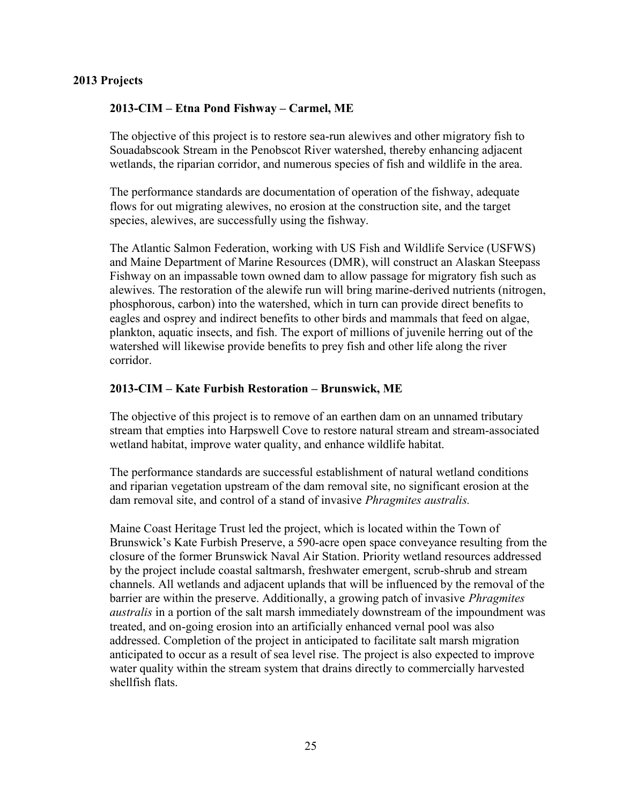#### 2013 Projects

#### 2013-CIM – Etna Pond Fishway – Carmel, ME

The objective of this project is to restore sea-run alewives and other migratory fish to Souadabscook Stream in the Penobscot River watershed, thereby enhancing adjacent wetlands, the riparian corridor, and numerous species of fish and wildlife in the area.

The performance standards are documentation of operation of the fishway, adequate flows for out migrating alewives, no erosion at the construction site, and the target species, alewives, are successfully using the fishway.

The Atlantic Salmon Federation, working with US Fish and Wildlife Service (USFWS) and Maine Department of Marine Resources (DMR), will construct an Alaskan Steepass Fishway on an impassable town owned dam to allow passage for migratory fish such as alewives. The restoration of the alewife run will bring marine-derived nutrients (nitrogen, phosphorous, carbon) into the watershed, which in turn can provide direct benefits to eagles and osprey and indirect benefits to other birds and mammals that feed on algae, plankton, aquatic insects, and fish. The export of millions of juvenile herring out of the watershed will likewise provide benefits to prey fish and other life along the river corridor.

#### 2013-CIM – Kate Furbish Restoration – Brunswick, ME

The objective of this project is to remove of an earthen dam on an unnamed tributary stream that empties into Harpswell Cove to restore natural stream and stream-associated wetland habitat, improve water quality, and enhance wildlife habitat.

The performance standards are successful establishment of natural wetland conditions and riparian vegetation upstream of the dam removal site, no significant erosion at the dam removal site, and control of a stand of invasive Phragmites australis.

Maine Coast Heritage Trust led the project, which is located within the Town of Brunswick's Kate Furbish Preserve, a 590-acre open space conveyance resulting from the closure of the former Brunswick Naval Air Station. Priority wetland resources addressed by the project include coastal saltmarsh, freshwater emergent, scrub-shrub and stream channels. All wetlands and adjacent uplands that will be influenced by the removal of the barrier are within the preserve. Additionally, a growing patch of invasive Phragmites australis in a portion of the salt marsh immediately downstream of the impoundment was treated, and on-going erosion into an artificially enhanced vernal pool was also addressed. Completion of the project in anticipated to facilitate salt marsh migration anticipated to occur as a result of sea level rise. The project is also expected to improve water quality within the stream system that drains directly to commercially harvested shellfish flats.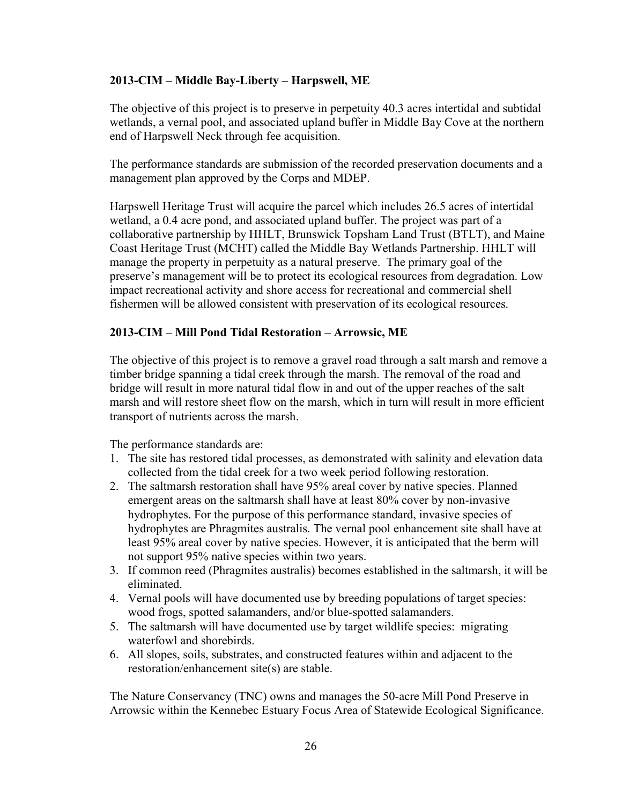#### 2013-CIM – Middle Bay-Liberty – Harpswell, ME

The objective of this project is to preserve in perpetuity 40.3 acres intertidal and subtidal wetlands, a vernal pool, and associated upland buffer in Middle Bay Cove at the northern end of Harpswell Neck through fee acquisition.

The performance standards are submission of the recorded preservation documents and a management plan approved by the Corps and MDEP.

Harpswell Heritage Trust will acquire the parcel which includes 26.5 acres of intertidal wetland, a 0.4 acre pond, and associated upland buffer. The project was part of a collaborative partnership by HHLT, Brunswick Topsham Land Trust (BTLT), and Maine Coast Heritage Trust (MCHT) called the Middle Bay Wetlands Partnership. HHLT will manage the property in perpetuity as a natural preserve. The primary goal of the preserve's management will be to protect its ecological resources from degradation. Low impact recreational activity and shore access for recreational and commercial shell fishermen will be allowed consistent with preservation of its ecological resources.

#### 2013-CIM – Mill Pond Tidal Restoration – Arrowsic, ME

The objective of this project is to remove a gravel road through a salt marsh and remove a timber bridge spanning a tidal creek through the marsh. The removal of the road and bridge will result in more natural tidal flow in and out of the upper reaches of the salt marsh and will restore sheet flow on the marsh, which in turn will result in more efficient transport of nutrients across the marsh.

The performance standards are:

- 1. The site has restored tidal processes, as demonstrated with salinity and elevation data collected from the tidal creek for a two week period following restoration.
- 2. The saltmarsh restoration shall have 95% areal cover by native species. Planned emergent areas on the saltmarsh shall have at least 80% cover by non-invasive hydrophytes. For the purpose of this performance standard, invasive species of hydrophytes are Phragmites australis. The vernal pool enhancement site shall have at least 95% areal cover by native species. However, it is anticipated that the berm will not support 95% native species within two years.
- 3. If common reed (Phragmites australis) becomes established in the saltmarsh, it will be eliminated.
- 4. Vernal pools will have documented use by breeding populations of target species: wood frogs, spotted salamanders, and/or blue-spotted salamanders.
- 5. The saltmarsh will have documented use by target wildlife species: migrating waterfowl and shorebirds.
- 6. All slopes, soils, substrates, and constructed features within and adjacent to the restoration/enhancement site(s) are stable.

The Nature Conservancy (TNC) owns and manages the 50-acre Mill Pond Preserve in Arrowsic within the Kennebec Estuary Focus Area of Statewide Ecological Significance.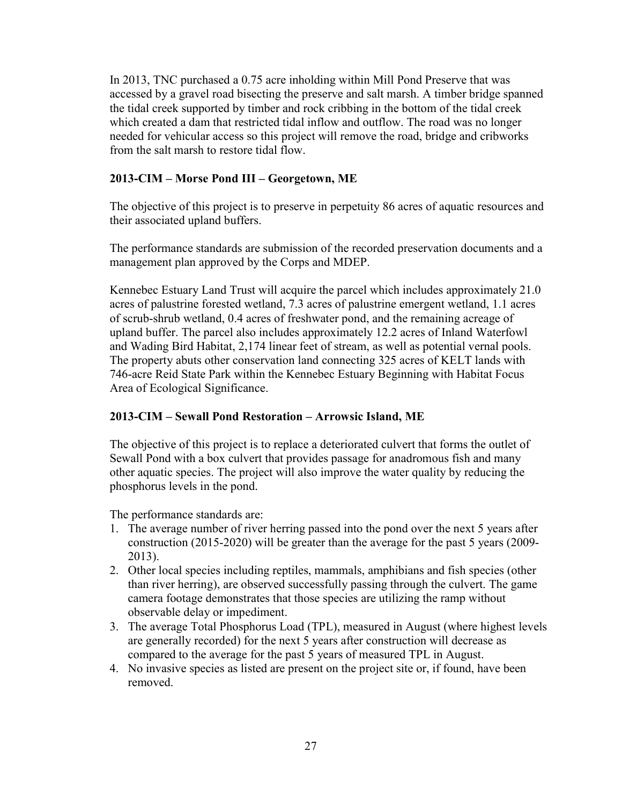In 2013, TNC purchased a 0.75 acre inholding within Mill Pond Preserve that was accessed by a gravel road bisecting the preserve and salt marsh. A timber bridge spanned the tidal creek supported by timber and rock cribbing in the bottom of the tidal creek which created a dam that restricted tidal inflow and outflow. The road was no longer needed for vehicular access so this project will remove the road, bridge and cribworks from the salt marsh to restore tidal flow.

# 2013-CIM – Morse Pond III – Georgetown, ME

The objective of this project is to preserve in perpetuity 86 acres of aquatic resources and their associated upland buffers.

The performance standards are submission of the recorded preservation documents and a management plan approved by the Corps and MDEP.

Kennebec Estuary Land Trust will acquire the parcel which includes approximately 21.0 acres of palustrine forested wetland, 7.3 acres of palustrine emergent wetland, 1.1 acres of scrub-shrub wetland, 0.4 acres of freshwater pond, and the remaining acreage of upland buffer. The parcel also includes approximately 12.2 acres of Inland Waterfowl and Wading Bird Habitat, 2,174 linear feet of stream, as well as potential vernal pools. The property abuts other conservation land connecting 325 acres of KELT lands with 746-acre Reid State Park within the Kennebec Estuary Beginning with Habitat Focus Area of Ecological Significance.

### 2013-CIM – Sewall Pond Restoration – Arrowsic Island, ME

The objective of this project is to replace a deteriorated culvert that forms the outlet of Sewall Pond with a box culvert that provides passage for anadromous fish and many other aquatic species. The project will also improve the water quality by reducing the phosphorus levels in the pond.

The performance standards are:

- 1. The average number of river herring passed into the pond over the next 5 years after construction (2015-2020) will be greater than the average for the past 5 years (2009- 2013).
- 2. Other local species including reptiles, mammals, amphibians and fish species (other than river herring), are observed successfully passing through the culvert. The game camera footage demonstrates that those species are utilizing the ramp without observable delay or impediment.
- 3. The average Total Phosphorus Load (TPL), measured in August (where highest levels are generally recorded) for the next 5 years after construction will decrease as compared to the average for the past 5 years of measured TPL in August.
- 4. No invasive species as listed are present on the project site or, if found, have been removed.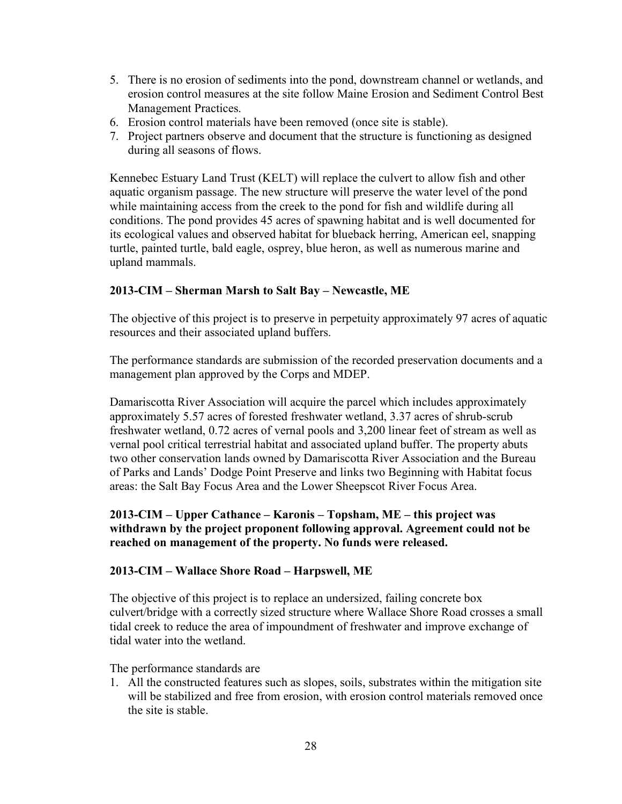- 5. There is no erosion of sediments into the pond, downstream channel or wetlands, and erosion control measures at the site follow Maine Erosion and Sediment Control Best Management Practices.
- 6. Erosion control materials have been removed (once site is stable).
- 7. Project partners observe and document that the structure is functioning as designed during all seasons of flows.

Kennebec Estuary Land Trust (KELT) will replace the culvert to allow fish and other aquatic organism passage. The new structure will preserve the water level of the pond while maintaining access from the creek to the pond for fish and wildlife during all conditions. The pond provides 45 acres of spawning habitat and is well documented for its ecological values and observed habitat for blueback herring, American eel, snapping turtle, painted turtle, bald eagle, osprey, blue heron, as well as numerous marine and upland mammals.

### 2013-CIM – Sherman Marsh to Salt Bay – Newcastle, ME

The objective of this project is to preserve in perpetuity approximately 97 acres of aquatic resources and their associated upland buffers.

The performance standards are submission of the recorded preservation documents and a management plan approved by the Corps and MDEP.

Damariscotta River Association will acquire the parcel which includes approximately approximately 5.57 acres of forested freshwater wetland, 3.37 acres of shrub-scrub freshwater wetland, 0.72 acres of vernal pools and 3,200 linear feet of stream as well as vernal pool critical terrestrial habitat and associated upland buffer. The property abuts two other conservation lands owned by Damariscotta River Association and the Bureau of Parks and Lands' Dodge Point Preserve and links two Beginning with Habitat focus areas: the Salt Bay Focus Area and the Lower Sheepscot River Focus Area.

### 2013-CIM – Upper Cathance – Karonis – Topsham, ME – this project was withdrawn by the project proponent following approval. Agreement could not be reached on management of the property. No funds were released.

#### 2013-CIM – Wallace Shore Road – Harpswell, ME

The objective of this project is to replace an undersized, failing concrete box culvert/bridge with a correctly sized structure where Wallace Shore Road crosses a small tidal creek to reduce the area of impoundment of freshwater and improve exchange of tidal water into the wetland.

The performance standards are

1. All the constructed features such as slopes, soils, substrates within the mitigation site will be stabilized and free from erosion, with erosion control materials removed once the site is stable.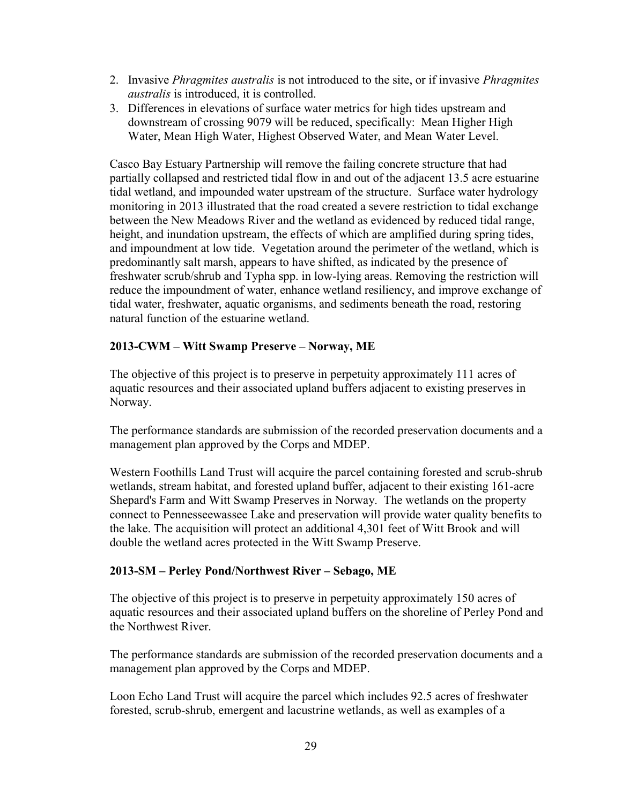- 2. Invasive *Phragmites australis* is not introduced to the site, or if invasive *Phragmites* australis is introduced, it is controlled.
- 3. Differences in elevations of surface water metrics for high tides upstream and downstream of crossing 9079 will be reduced, specifically: Mean Higher High Water, Mean High Water, Highest Observed Water, and Mean Water Level.

Casco Bay Estuary Partnership will remove the failing concrete structure that had partially collapsed and restricted tidal flow in and out of the adjacent 13.5 acre estuarine tidal wetland, and impounded water upstream of the structure. Surface water hydrology monitoring in 2013 illustrated that the road created a severe restriction to tidal exchange between the New Meadows River and the wetland as evidenced by reduced tidal range, height, and inundation upstream, the effects of which are amplified during spring tides, and impoundment at low tide. Vegetation around the perimeter of the wetland, which is predominantly salt marsh, appears to have shifted, as indicated by the presence of freshwater scrub/shrub and Typha spp. in low-lying areas. Removing the restriction will reduce the impoundment of water, enhance wetland resiliency, and improve exchange of tidal water, freshwater, aquatic organisms, and sediments beneath the road, restoring natural function of the estuarine wetland.

### 2013-CWM – Witt Swamp Preserve – Norway, ME

The objective of this project is to preserve in perpetuity approximately 111 acres of aquatic resources and their associated upland buffers adjacent to existing preserves in Norway.

The performance standards are submission of the recorded preservation documents and a management plan approved by the Corps and MDEP.

Western Foothills Land Trust will acquire the parcel containing forested and scrub-shrub wetlands, stream habitat, and forested upland buffer, adjacent to their existing 161-acre Shepard's Farm and Witt Swamp Preserves in Norway. The wetlands on the property connect to Pennesseewassee Lake and preservation will provide water quality benefits to the lake. The acquisition will protect an additional 4,301 feet of Witt Brook and will double the wetland acres protected in the Witt Swamp Preserve.

### 2013-SM – Perley Pond/Northwest River – Sebago, ME

The objective of this project is to preserve in perpetuity approximately 150 acres of aquatic resources and their associated upland buffers on the shoreline of Perley Pond and the Northwest River.

The performance standards are submission of the recorded preservation documents and a management plan approved by the Corps and MDEP.

Loon Echo Land Trust will acquire the parcel which includes 92.5 acres of freshwater forested, scrub-shrub, emergent and lacustrine wetlands, as well as examples of a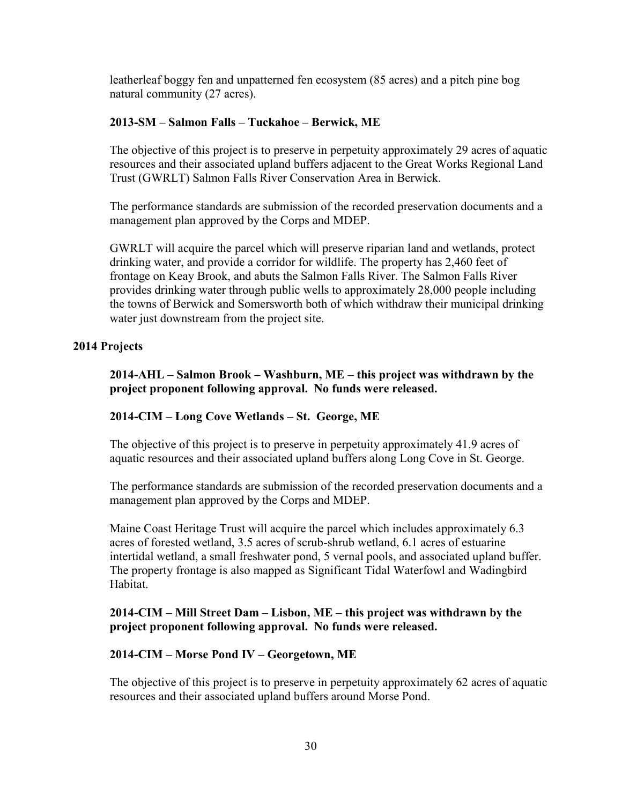leatherleaf boggy fen and unpatterned fen ecosystem (85 acres) and a pitch pine bog natural community (27 acres).

#### 2013-SM – Salmon Falls – Tuckahoe – Berwick, ME

The objective of this project is to preserve in perpetuity approximately 29 acres of aquatic resources and their associated upland buffers adjacent to the Great Works Regional Land Trust (GWRLT) Salmon Falls River Conservation Area in Berwick.

The performance standards are submission of the recorded preservation documents and a management plan approved by the Corps and MDEP.

GWRLT will acquire the parcel which will preserve riparian land and wetlands, protect drinking water, and provide a corridor for wildlife. The property has 2,460 feet of frontage on Keay Brook, and abuts the Salmon Falls River. The Salmon Falls River provides drinking water through public wells to approximately 28,000 people including the towns of Berwick and Somersworth both of which withdraw their municipal drinking water just downstream from the project site.

#### 2014 Projects

 2014-AHL – Salmon Brook – Washburn, ME – this project was withdrawn by the project proponent following approval. No funds were released.

#### 2014-CIM – Long Cove Wetlands – St. George, ME

The objective of this project is to preserve in perpetuity approximately 41.9 acres of aquatic resources and their associated upland buffers along Long Cove in St. George.

The performance standards are submission of the recorded preservation documents and a management plan approved by the Corps and MDEP.

Maine Coast Heritage Trust will acquire the parcel which includes approximately 6.3 acres of forested wetland, 3.5 acres of scrub-shrub wetland, 6.1 acres of estuarine intertidal wetland, a small freshwater pond, 5 vernal pools, and associated upland buffer. The property frontage is also mapped as Significant Tidal Waterfowl and Wadingbird Habitat.

#### 2014-CIM – Mill Street Dam – Lisbon, ME – this project was withdrawn by the project proponent following approval. No funds were released.

#### 2014-CIM – Morse Pond IV – Georgetown, ME

The objective of this project is to preserve in perpetuity approximately 62 acres of aquatic resources and their associated upland buffers around Morse Pond.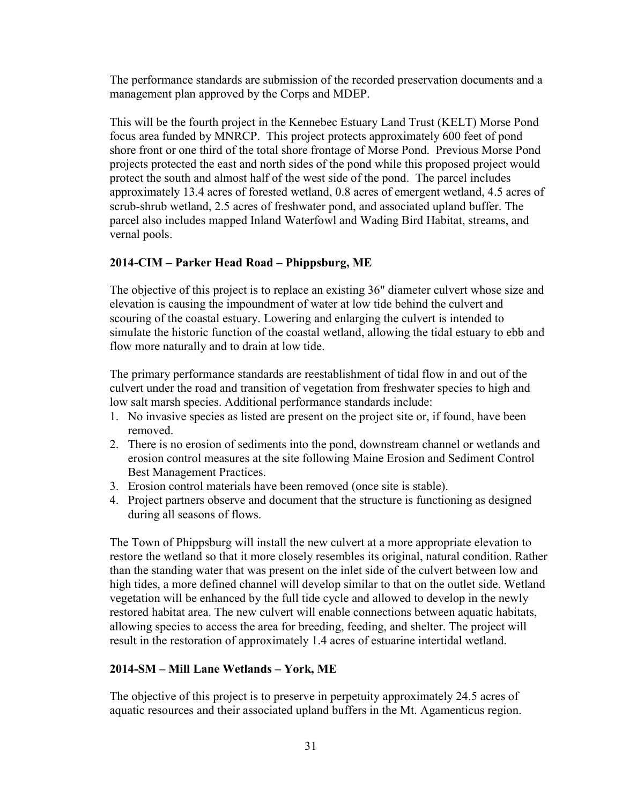The performance standards are submission of the recorded preservation documents and a management plan approved by the Corps and MDEP.

This will be the fourth project in the Kennebec Estuary Land Trust (KELT) Morse Pond focus area funded by MNRCP. This project protects approximately 600 feet of pond shore front or one third of the total shore frontage of Morse Pond. Previous Morse Pond projects protected the east and north sides of the pond while this proposed project would protect the south and almost half of the west side of the pond. The parcel includes approximately 13.4 acres of forested wetland, 0.8 acres of emergent wetland, 4.5 acres of scrub-shrub wetland, 2.5 acres of freshwater pond, and associated upland buffer. The parcel also includes mapped Inland Waterfowl and Wading Bird Habitat, streams, and vernal pools.

### 2014-CIM – Parker Head Road – Phippsburg, ME

The objective of this project is to replace an existing 36" diameter culvert whose size and elevation is causing the impoundment of water at low tide behind the culvert and scouring of the coastal estuary. Lowering and enlarging the culvert is intended to simulate the historic function of the coastal wetland, allowing the tidal estuary to ebb and flow more naturally and to drain at low tide.

The primary performance standards are reestablishment of tidal flow in and out of the culvert under the road and transition of vegetation from freshwater species to high and low salt marsh species. Additional performance standards include:

- 1. No invasive species as listed are present on the project site or, if found, have been removed.
- 2. There is no erosion of sediments into the pond, downstream channel or wetlands and erosion control measures at the site following Maine Erosion and Sediment Control Best Management Practices.
- 3. Erosion control materials have been removed (once site is stable).
- 4. Project partners observe and document that the structure is functioning as designed during all seasons of flows.

The Town of Phippsburg will install the new culvert at a more appropriate elevation to restore the wetland so that it more closely resembles its original, natural condition. Rather than the standing water that was present on the inlet side of the culvert between low and high tides, a more defined channel will develop similar to that on the outlet side. Wetland vegetation will be enhanced by the full tide cycle and allowed to develop in the newly restored habitat area. The new culvert will enable connections between aquatic habitats, allowing species to access the area for breeding, feeding, and shelter. The project will result in the restoration of approximately 1.4 acres of estuarine intertidal wetland.

### 2014-SM – Mill Lane Wetlands – York, ME

The objective of this project is to preserve in perpetuity approximately 24.5 acres of aquatic resources and their associated upland buffers in the Mt. Agamenticus region.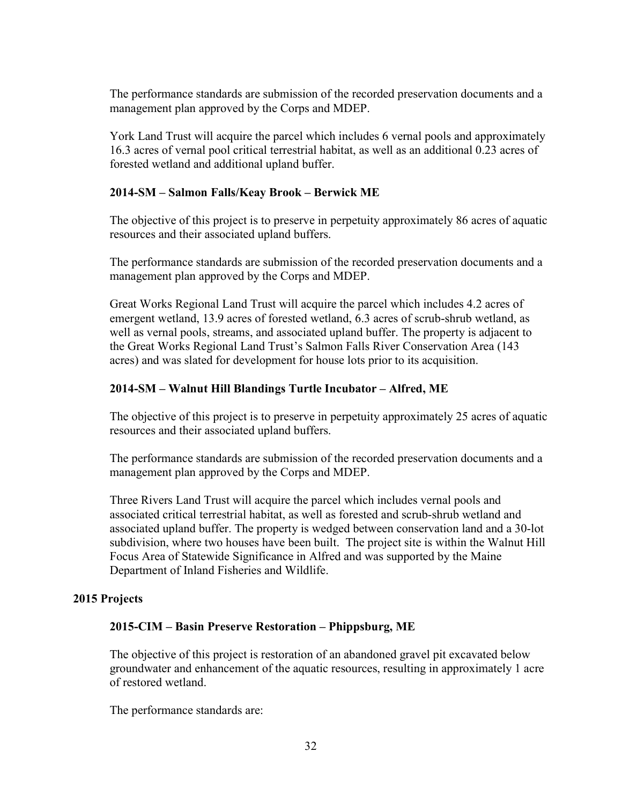The performance standards are submission of the recorded preservation documents and a management plan approved by the Corps and MDEP.

York Land Trust will acquire the parcel which includes 6 vernal pools and approximately 16.3 acres of vernal pool critical terrestrial habitat, as well as an additional 0.23 acres of forested wetland and additional upland buffer.

#### 2014-SM – Salmon Falls/Keay Brook – Berwick ME

The objective of this project is to preserve in perpetuity approximately 86 acres of aquatic resources and their associated upland buffers.

The performance standards are submission of the recorded preservation documents and a management plan approved by the Corps and MDEP.

Great Works Regional Land Trust will acquire the parcel which includes 4.2 acres of emergent wetland, 13.9 acres of forested wetland, 6.3 acres of scrub-shrub wetland, as well as vernal pools, streams, and associated upland buffer. The property is adjacent to the Great Works Regional Land Trust's Salmon Falls River Conservation Area (143 acres) and was slated for development for house lots prior to its acquisition.

### 2014-SM – Walnut Hill Blandings Turtle Incubator – Alfred, ME

The objective of this project is to preserve in perpetuity approximately 25 acres of aquatic resources and their associated upland buffers.

The performance standards are submission of the recorded preservation documents and a management plan approved by the Corps and MDEP.

Three Rivers Land Trust will acquire the parcel which includes vernal pools and associated critical terrestrial habitat, as well as forested and scrub-shrub wetland and associated upland buffer. The property is wedged between conservation land and a 30-lot subdivision, where two houses have been built. The project site is within the Walnut Hill Focus Area of Statewide Significance in Alfred and was supported by the Maine Department of Inland Fisheries and Wildlife.

#### 2015 Projects

#### 2015-CIM – Basin Preserve Restoration – Phippsburg, ME

The objective of this project is restoration of an abandoned gravel pit excavated below groundwater and enhancement of the aquatic resources, resulting in approximately 1 acre of restored wetland.

The performance standards are: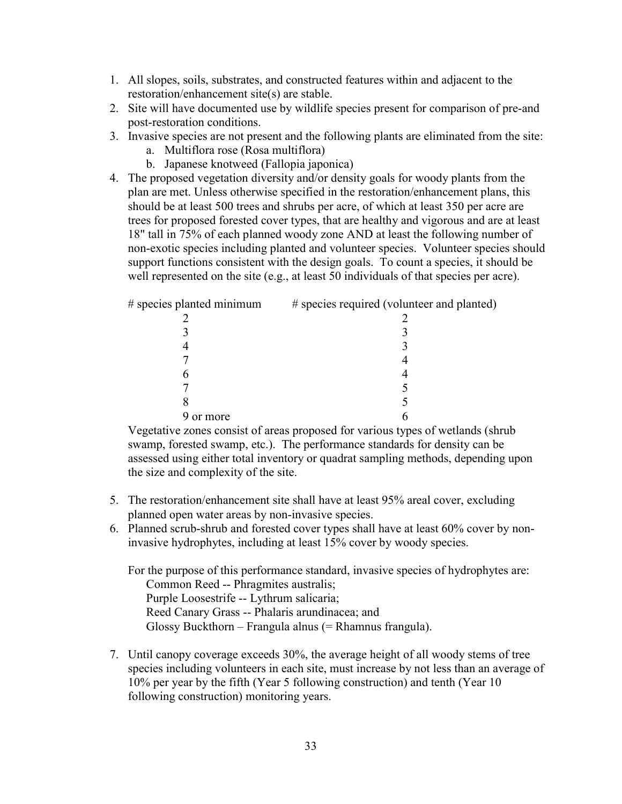- 1. All slopes, soils, substrates, and constructed features within and adjacent to the restoration/enhancement site(s) are stable.
- 2. Site will have documented use by wildlife species present for comparison of pre-and post-restoration conditions.
- 3. Invasive species are not present and the following plants are eliminated from the site:
	- a. Multiflora rose (Rosa multiflora)
	- b. Japanese knotweed (Fallopia japonica)
- 4. The proposed vegetation diversity and/or density goals for woody plants from the plan are met. Unless otherwise specified in the restoration/enhancement plans, this should be at least 500 trees and shrubs per acre, of which at least 350 per acre are trees for proposed forested cover types, that are healthy and vigorous and are at least 18" tall in 75% of each planned woody zone AND at least the following number of non-exotic species including planted and volunteer species. Volunteer species should support functions consistent with the design goals. To count a species, it should be well represented on the site (e.g., at least 50 individuals of that species per acre).

| # species planted minimum | # species required (volunteer and planted) |
|---------------------------|--------------------------------------------|
|                           |                                            |
|                           |                                            |
|                           |                                            |
|                           |                                            |
|                           |                                            |
|                           |                                            |
|                           |                                            |
| or more                   |                                            |

Vegetative zones consist of areas proposed for various types of wetlands (shrub swamp, forested swamp, etc.). The performance standards for density can be assessed using either total inventory or quadrat sampling methods, depending upon the size and complexity of the site.

- 5. The restoration/enhancement site shall have at least 95% areal cover, excluding planned open water areas by non-invasive species.
- 6. Planned scrub-shrub and forested cover types shall have at least 60% cover by noninvasive hydrophytes, including at least 15% cover by woody species.

For the purpose of this performance standard, invasive species of hydrophytes are: Common Reed -- Phragmites australis; Purple Loosestrife -- Lythrum salicaria; Reed Canary Grass -- Phalaris arundinacea; and Glossy Buckthorn – Frangula alnus (= Rhamnus frangula).

7. Until canopy coverage exceeds 30%, the average height of all woody stems of tree species including volunteers in each site, must increase by not less than an average of 10% per year by the fifth (Year 5 following construction) and tenth (Year 10 following construction) monitoring years.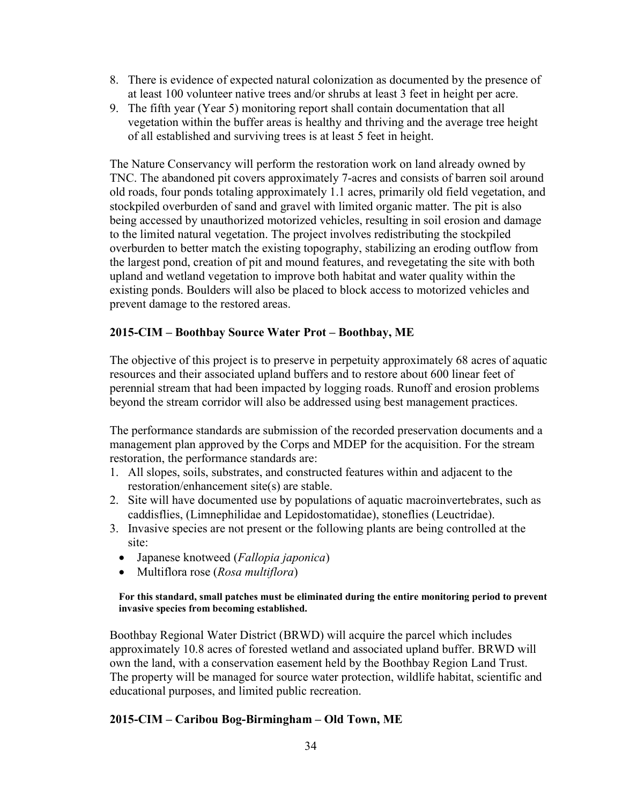- 8. There is evidence of expected natural colonization as documented by the presence of at least 100 volunteer native trees and/or shrubs at least 3 feet in height per acre.
- 9. The fifth year (Year 5) monitoring report shall contain documentation that all vegetation within the buffer areas is healthy and thriving and the average tree height of all established and surviving trees is at least 5 feet in height.

The Nature Conservancy will perform the restoration work on land already owned by TNC. The abandoned pit covers approximately 7-acres and consists of barren soil around old roads, four ponds totaling approximately 1.1 acres, primarily old field vegetation, and stockpiled overburden of sand and gravel with limited organic matter. The pit is also being accessed by unauthorized motorized vehicles, resulting in soil erosion and damage to the limited natural vegetation. The project involves redistributing the stockpiled overburden to better match the existing topography, stabilizing an eroding outflow from the largest pond, creation of pit and mound features, and revegetating the site with both upland and wetland vegetation to improve both habitat and water quality within the existing ponds. Boulders will also be placed to block access to motorized vehicles and prevent damage to the restored areas.

#### 2015-CIM – Boothbay Source Water Prot – Boothbay, ME

The objective of this project is to preserve in perpetuity approximately 68 acres of aquatic resources and their associated upland buffers and to restore about 600 linear feet of perennial stream that had been impacted by logging roads. Runoff and erosion problems beyond the stream corridor will also be addressed using best management practices.

The performance standards are submission of the recorded preservation documents and a management plan approved by the Corps and MDEP for the acquisition. For the stream restoration, the performance standards are:

- 1. All slopes, soils, substrates, and constructed features within and adjacent to the restoration/enhancement site(s) are stable.
- 2. Site will have documented use by populations of aquatic macroinvertebrates, such as caddisflies, (Limnephilidae and Lepidostomatidae), stoneflies (Leuctridae).
- 3. Invasive species are not present or the following plants are being controlled at the site:
	- Japanese knotweed (*Fallopia japonica*)
	- Multiflora rose (Rosa multiflora)

#### For this standard, small patches must be eliminated during the entire monitoring period to prevent invasive species from becoming established.

Boothbay Regional Water District (BRWD) will acquire the parcel which includes approximately 10.8 acres of forested wetland and associated upland buffer. BRWD will own the land, with a conservation easement held by the Boothbay Region Land Trust. The property will be managed for source water protection, wildlife habitat, scientific and educational purposes, and limited public recreation.

#### 2015-CIM – Caribou Bog-Birmingham – Old Town, ME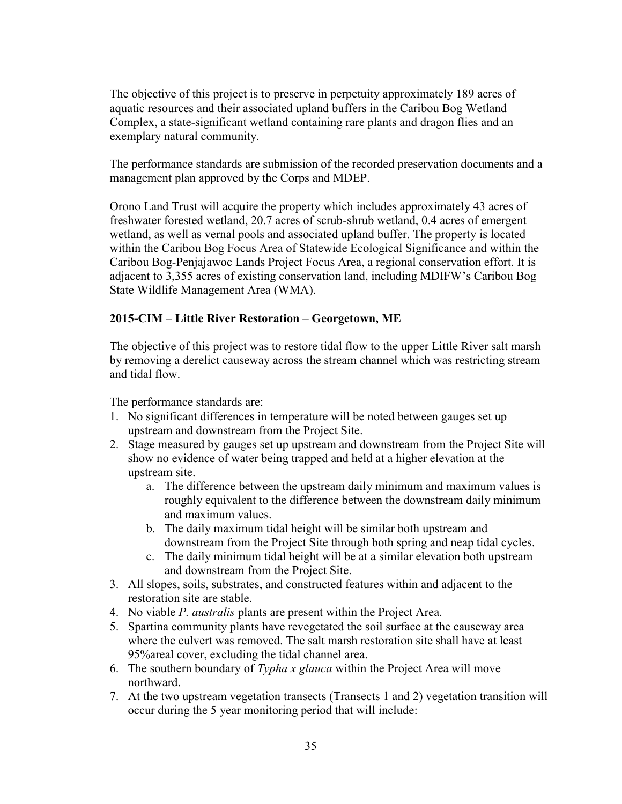The objective of this project is to preserve in perpetuity approximately 189 acres of aquatic resources and their associated upland buffers in the Caribou Bog Wetland Complex, a state-significant wetland containing rare plants and dragon flies and an exemplary natural community.

The performance standards are submission of the recorded preservation documents and a management plan approved by the Corps and MDEP.

Orono Land Trust will acquire the property which includes approximately 43 acres of freshwater forested wetland, 20.7 acres of scrub-shrub wetland, 0.4 acres of emergent wetland, as well as vernal pools and associated upland buffer. The property is located within the Caribou Bog Focus Area of Statewide Ecological Significance and within the Caribou Bog-Penjajawoc Lands Project Focus Area, a regional conservation effort. It is adjacent to 3,355 acres of existing conservation land, including MDIFW's Caribou Bog State Wildlife Management Area (WMA).

### 2015-CIM – Little River Restoration – Georgetown, ME

The objective of this project was to restore tidal flow to the upper Little River salt marsh by removing a derelict causeway across the stream channel which was restricting stream and tidal flow.

The performance standards are:

- 1. No significant differences in temperature will be noted between gauges set up upstream and downstream from the Project Site.
- 2. Stage measured by gauges set up upstream and downstream from the Project Site will show no evidence of water being trapped and held at a higher elevation at the upstream site.
	- a. The difference between the upstream daily minimum and maximum values is roughly equivalent to the difference between the downstream daily minimum and maximum values.
	- b. The daily maximum tidal height will be similar both upstream and downstream from the Project Site through both spring and neap tidal cycles.
	- c. The daily minimum tidal height will be at a similar elevation both upstream and downstream from the Project Site.
- 3. All slopes, soils, substrates, and constructed features within and adjacent to the restoration site are stable.
- 4. No viable *P. australis* plants are present within the Project Area.
- 5. Spartina community plants have revegetated the soil surface at the causeway area where the culvert was removed. The salt marsh restoration site shall have at least 95%areal cover, excluding the tidal channel area.
- 6. The southern boundary of Typha x glauca within the Project Area will move northward.
- 7. At the two upstream vegetation transects (Transects 1 and 2) vegetation transition will occur during the 5 year monitoring period that will include: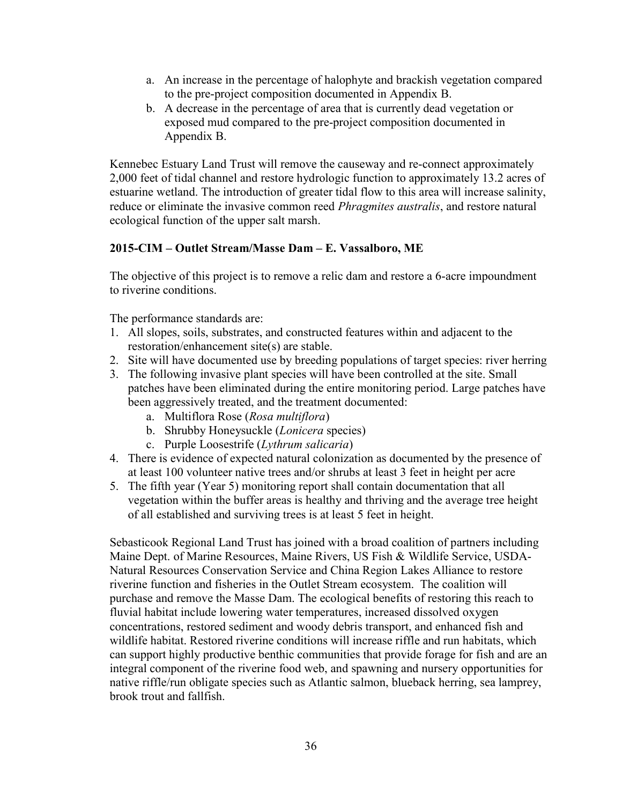- a. An increase in the percentage of halophyte and brackish vegetation compared to the pre-project composition documented in Appendix B.
- b. A decrease in the percentage of area that is currently dead vegetation or exposed mud compared to the pre-project composition documented in Appendix B.

Kennebec Estuary Land Trust will remove the causeway and re-connect approximately 2,000 feet of tidal channel and restore hydrologic function to approximately 13.2 acres of estuarine wetland. The introduction of greater tidal flow to this area will increase salinity, reduce or eliminate the invasive common reed *Phragmites australis*, and restore natural ecological function of the upper salt marsh.

### 2015-CIM – Outlet Stream/Masse Dam – E. Vassalboro, ME

The objective of this project is to remove a relic dam and restore a 6-acre impoundment to riverine conditions.

The performance standards are:

- 1. All slopes, soils, substrates, and constructed features within and adjacent to the restoration/enhancement site(s) are stable.
- 2. Site will have documented use by breeding populations of target species: river herring
- 3. The following invasive plant species will have been controlled at the site. Small patches have been eliminated during the entire monitoring period. Large patches have been aggressively treated, and the treatment documented:
	- a. Multiflora Rose (Rosa multiflora)
	- b. Shrubby Honeysuckle (Lonicera species)
	- c. Purple Loosestrife (Lythrum salicaria)
- 4. There is evidence of expected natural colonization as documented by the presence of at least 100 volunteer native trees and/or shrubs at least 3 feet in height per acre
- 5. The fifth year (Year 5) monitoring report shall contain documentation that all vegetation within the buffer areas is healthy and thriving and the average tree height of all established and surviving trees is at least 5 feet in height.

Sebasticook Regional Land Trust has joined with a broad coalition of partners including Maine Dept. of Marine Resources, Maine Rivers, US Fish & Wildlife Service, USDA-Natural Resources Conservation Service and China Region Lakes Alliance to restore riverine function and fisheries in the Outlet Stream ecosystem. The coalition will purchase and remove the Masse Dam. The ecological benefits of restoring this reach to fluvial habitat include lowering water temperatures, increased dissolved oxygen concentrations, restored sediment and woody debris transport, and enhanced fish and wildlife habitat. Restored riverine conditions will increase riffle and run habitats, which can support highly productive benthic communities that provide forage for fish and are an integral component of the riverine food web, and spawning and nursery opportunities for native riffle/run obligate species such as Atlantic salmon, blueback herring, sea lamprey, brook trout and fallfish.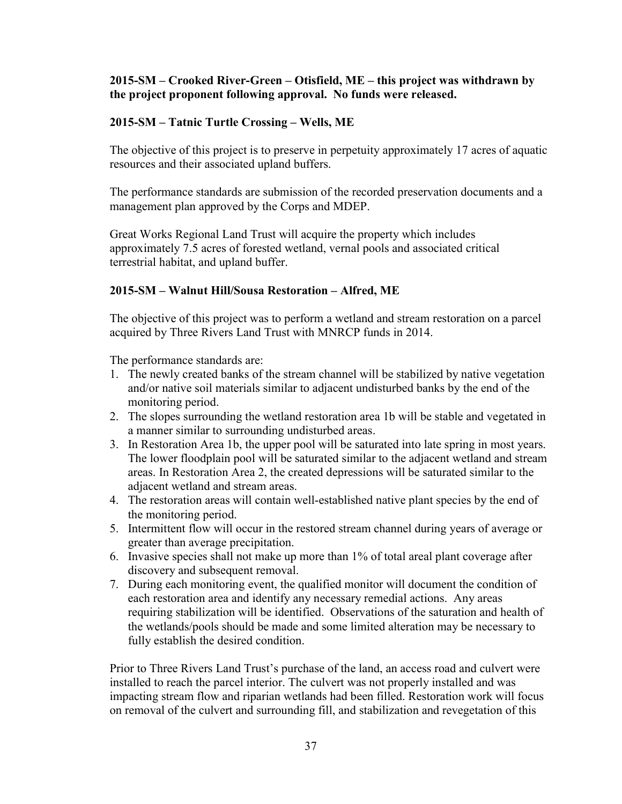#### 2015-SM – Crooked River-Green – Otisfield, ME – this project was withdrawn by the project proponent following approval. No funds were released.

#### 2015-SM – Tatnic Turtle Crossing – Wells, ME

The objective of this project is to preserve in perpetuity approximately 17 acres of aquatic resources and their associated upland buffers.

The performance standards are submission of the recorded preservation documents and a management plan approved by the Corps and MDEP.

Great Works Regional Land Trust will acquire the property which includes approximately 7.5 acres of forested wetland, vernal pools and associated critical terrestrial habitat, and upland buffer.

#### 2015-SM – Walnut Hill/Sousa Restoration – Alfred, ME

The objective of this project was to perform a wetland and stream restoration on a parcel acquired by Three Rivers Land Trust with MNRCP funds in 2014.

The performance standards are:

- 1. The newly created banks of the stream channel will be stabilized by native vegetation and/or native soil materials similar to adjacent undisturbed banks by the end of the monitoring period.
- 2. The slopes surrounding the wetland restoration area 1b will be stable and vegetated in a manner similar to surrounding undisturbed areas.
- 3. In Restoration Area 1b, the upper pool will be saturated into late spring in most years. The lower floodplain pool will be saturated similar to the adjacent wetland and stream areas. In Restoration Area 2, the created depressions will be saturated similar to the adjacent wetland and stream areas.
- 4. The restoration areas will contain well-established native plant species by the end of the monitoring period.
- 5. Intermittent flow will occur in the restored stream channel during years of average or greater than average precipitation.
- 6. Invasive species shall not make up more than 1% of total areal plant coverage after discovery and subsequent removal.
- 7. During each monitoring event, the qualified monitor will document the condition of each restoration area and identify any necessary remedial actions. Any areas requiring stabilization will be identified. Observations of the saturation and health of the wetlands/pools should be made and some limited alteration may be necessary to fully establish the desired condition.

Prior to Three Rivers Land Trust's purchase of the land, an access road and culvert were installed to reach the parcel interior. The culvert was not properly installed and was impacting stream flow and riparian wetlands had been filled. Restoration work will focus on removal of the culvert and surrounding fill, and stabilization and revegetation of this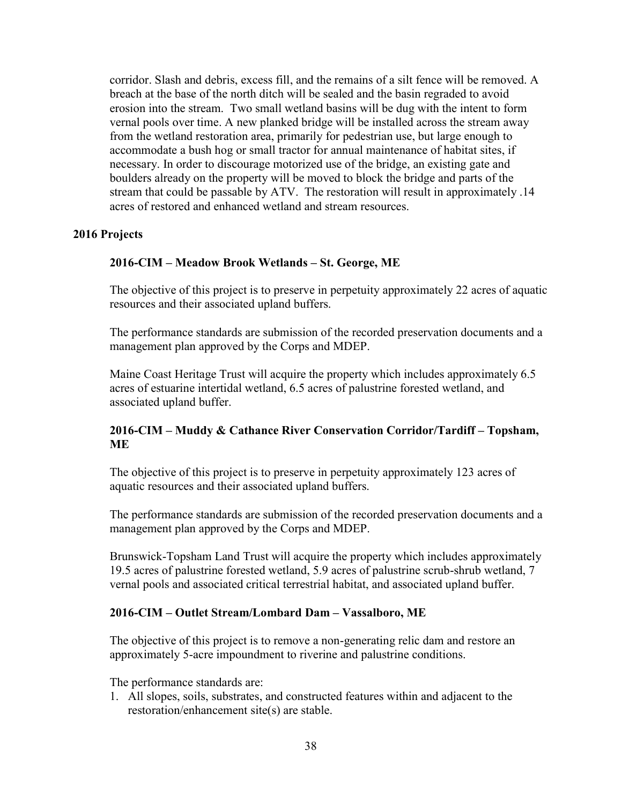corridor. Slash and debris, excess fill, and the remains of a silt fence will be removed. A breach at the base of the north ditch will be sealed and the basin regraded to avoid erosion into the stream. Two small wetland basins will be dug with the intent to form vernal pools over time. A new planked bridge will be installed across the stream away from the wetland restoration area, primarily for pedestrian use, but large enough to accommodate a bush hog or small tractor for annual maintenance of habitat sites, if necessary. In order to discourage motorized use of the bridge, an existing gate and boulders already on the property will be moved to block the bridge and parts of the stream that could be passable by ATV. The restoration will result in approximately .14 acres of restored and enhanced wetland and stream resources.

#### 2016 Projects

#### 2016-CIM – Meadow Brook Wetlands – St. George, ME

The objective of this project is to preserve in perpetuity approximately 22 acres of aquatic resources and their associated upland buffers.

The performance standards are submission of the recorded preservation documents and a management plan approved by the Corps and MDEP.

Maine Coast Heritage Trust will acquire the property which includes approximately 6.5 acres of estuarine intertidal wetland, 6.5 acres of palustrine forested wetland, and associated upland buffer.

#### 2016-CIM – Muddy & Cathance River Conservation Corridor/Tardiff – Topsham, **ME**

The objective of this project is to preserve in perpetuity approximately 123 acres of aquatic resources and their associated upland buffers.

The performance standards are submission of the recorded preservation documents and a management plan approved by the Corps and MDEP.

Brunswick-Topsham Land Trust will acquire the property which includes approximately 19.5 acres of palustrine forested wetland, 5.9 acres of palustrine scrub-shrub wetland, 7 vernal pools and associated critical terrestrial habitat, and associated upland buffer.

#### 2016-CIM – Outlet Stream/Lombard Dam – Vassalboro, ME

The objective of this project is to remove a non-generating relic dam and restore an approximately 5-acre impoundment to riverine and palustrine conditions.

The performance standards are:

1. All slopes, soils, substrates, and constructed features within and adjacent to the restoration/enhancement site(s) are stable.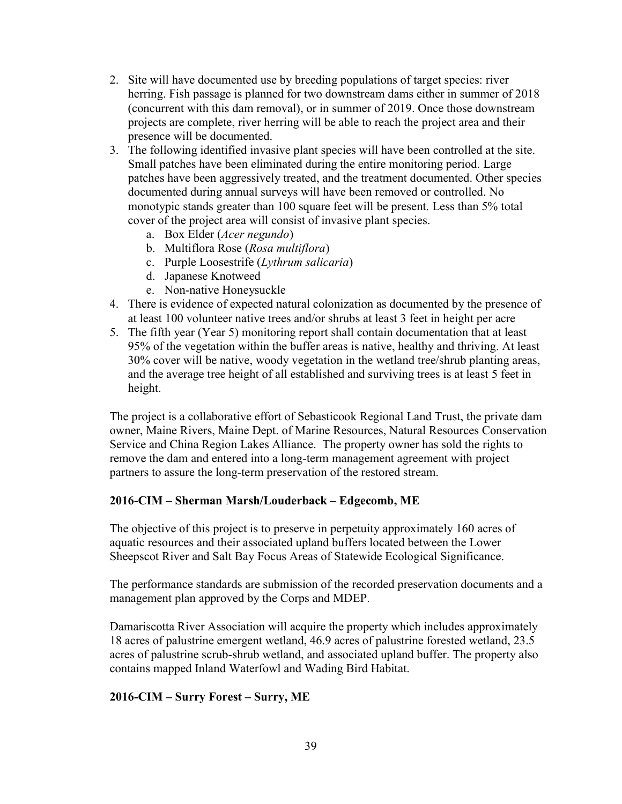- 2. Site will have documented use by breeding populations of target species: river herring. Fish passage is planned for two downstream dams either in summer of 2018 (concurrent with this dam removal), or in summer of 2019. Once those downstream projects are complete, river herring will be able to reach the project area and their presence will be documented.
- 3. The following identified invasive plant species will have been controlled at the site. Small patches have been eliminated during the entire monitoring period. Large patches have been aggressively treated, and the treatment documented. Other species documented during annual surveys will have been removed or controlled. No monotypic stands greater than 100 square feet will be present. Less than 5% total cover of the project area will consist of invasive plant species.
	- a. Box Elder (Acer negundo)
	- b. Multiflora Rose (Rosa multiflora)
	- c. Purple Loosestrife (Lythrum salicaria)
	- d. Japanese Knotweed
	- e. Non-native Honeysuckle
- 4. There is evidence of expected natural colonization as documented by the presence of at least 100 volunteer native trees and/or shrubs at least 3 feet in height per acre
- 5. The fifth year (Year 5) monitoring report shall contain documentation that at least 95% of the vegetation within the buffer areas is native, healthy and thriving. At least 30% cover will be native, woody vegetation in the wetland tree/shrub planting areas, and the average tree height of all established and surviving trees is at least 5 feet in height.

The project is a collaborative effort of Sebasticook Regional Land Trust, the private dam owner, Maine Rivers, Maine Dept. of Marine Resources, Natural Resources Conservation Service and China Region Lakes Alliance. The property owner has sold the rights to remove the dam and entered into a long-term management agreement with project partners to assure the long-term preservation of the restored stream.

### 2016-CIM – Sherman Marsh/Louderback – Edgecomb, ME

The objective of this project is to preserve in perpetuity approximately 160 acres of aquatic resources and their associated upland buffers located between the Lower Sheepscot River and Salt Bay Focus Areas of Statewide Ecological Significance.

The performance standards are submission of the recorded preservation documents and a management plan approved by the Corps and MDEP.

Damariscotta River Association will acquire the property which includes approximately 18 acres of palustrine emergent wetland, 46.9 acres of palustrine forested wetland, 23.5 acres of palustrine scrub-shrub wetland, and associated upland buffer. The property also contains mapped Inland Waterfowl and Wading Bird Habitat.

### 2016-CIM – Surry Forest – Surry, ME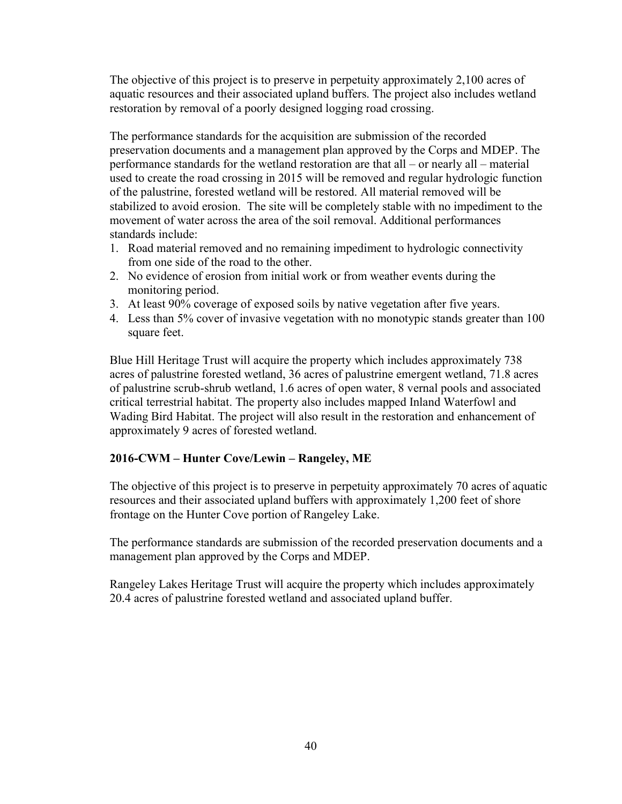The objective of this project is to preserve in perpetuity approximately 2,100 acres of aquatic resources and their associated upland buffers. The project also includes wetland restoration by removal of a poorly designed logging road crossing.

The performance standards for the acquisition are submission of the recorded preservation documents and a management plan approved by the Corps and MDEP. The performance standards for the wetland restoration are that all – or nearly all – material used to create the road crossing in 2015 will be removed and regular hydrologic function of the palustrine, forested wetland will be restored. All material removed will be stabilized to avoid erosion. The site will be completely stable with no impediment to the movement of water across the area of the soil removal. Additional performances standards include:

- 1. Road material removed and no remaining impediment to hydrologic connectivity from one side of the road to the other.
- 2. No evidence of erosion from initial work or from weather events during the monitoring period.
- 3. At least 90% coverage of exposed soils by native vegetation after five years.
- 4. Less than 5% cover of invasive vegetation with no monotypic stands greater than 100 square feet.

Blue Hill Heritage Trust will acquire the property which includes approximately 738 acres of palustrine forested wetland, 36 acres of palustrine emergent wetland, 71.8 acres of palustrine scrub-shrub wetland, 1.6 acres of open water, 8 vernal pools and associated critical terrestrial habitat. The property also includes mapped Inland Waterfowl and Wading Bird Habitat. The project will also result in the restoration and enhancement of approximately 9 acres of forested wetland.

### 2016-CWM – Hunter Cove/Lewin – Rangeley, ME

The objective of this project is to preserve in perpetuity approximately 70 acres of aquatic resources and their associated upland buffers with approximately 1,200 feet of shore frontage on the Hunter Cove portion of Rangeley Lake.

The performance standards are submission of the recorded preservation documents and a management plan approved by the Corps and MDEP.

Rangeley Lakes Heritage Trust will acquire the property which includes approximately 20.4 acres of palustrine forested wetland and associated upland buffer.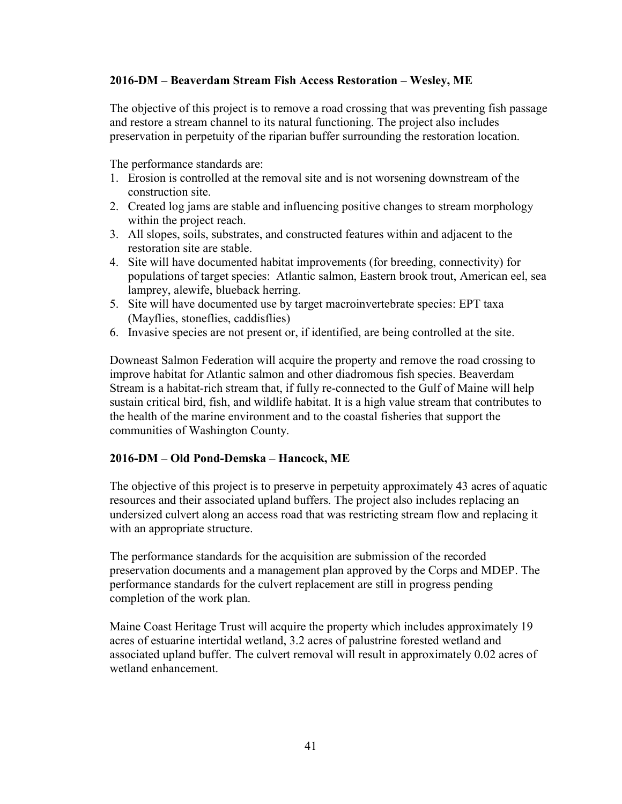#### 2016-DM – Beaverdam Stream Fish Access Restoration – Wesley, ME

The objective of this project is to remove a road crossing that was preventing fish passage and restore a stream channel to its natural functioning. The project also includes preservation in perpetuity of the riparian buffer surrounding the restoration location.

The performance standards are:

- 1. Erosion is controlled at the removal site and is not worsening downstream of the construction site.
- 2. Created log jams are stable and influencing positive changes to stream morphology within the project reach.
- 3. All slopes, soils, substrates, and constructed features within and adjacent to the restoration site are stable.
- 4. Site will have documented habitat improvements (for breeding, connectivity) for populations of target species: Atlantic salmon, Eastern brook trout, American eel, sea lamprey, alewife, blueback herring.
- 5. Site will have documented use by target macroinvertebrate species: EPT taxa (Mayflies, stoneflies, caddisflies)
- 6. Invasive species are not present or, if identified, are being controlled at the site.

Downeast Salmon Federation will acquire the property and remove the road crossing to improve habitat for Atlantic salmon and other diadromous fish species. Beaverdam Stream is a habitat-rich stream that, if fully re-connected to the Gulf of Maine will help sustain critical bird, fish, and wildlife habitat. It is a high value stream that contributes to the health of the marine environment and to the coastal fisheries that support the communities of Washington County.

#### 2016-DM – Old Pond-Demska – Hancock, ME

The objective of this project is to preserve in perpetuity approximately 43 acres of aquatic resources and their associated upland buffers. The project also includes replacing an undersized culvert along an access road that was restricting stream flow and replacing it with an appropriate structure.

The performance standards for the acquisition are submission of the recorded preservation documents and a management plan approved by the Corps and MDEP. The performance standards for the culvert replacement are still in progress pending completion of the work plan.

Maine Coast Heritage Trust will acquire the property which includes approximately 19 acres of estuarine intertidal wetland, 3.2 acres of palustrine forested wetland and associated upland buffer. The culvert removal will result in approximately 0.02 acres of wetland enhancement.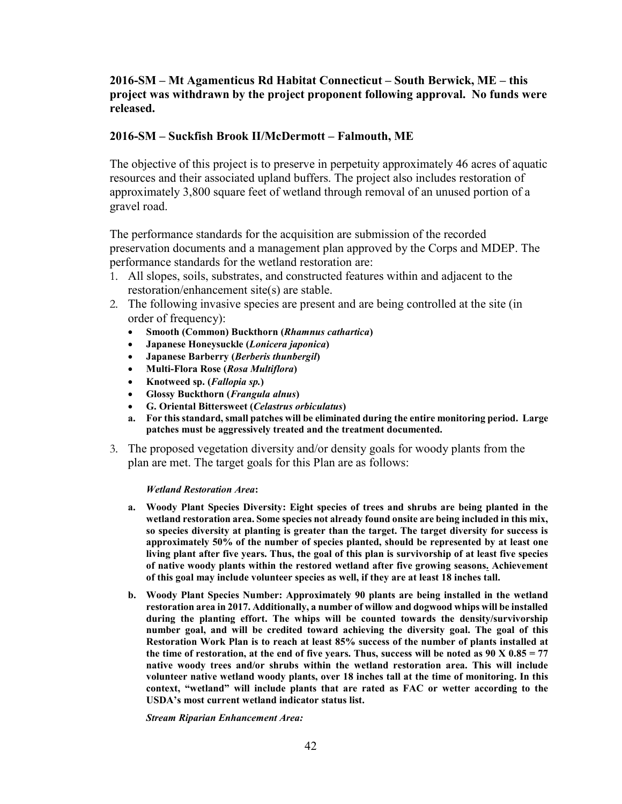#### 2016-SM – Mt Agamenticus Rd Habitat Connecticut – South Berwick, ME – this project was withdrawn by the project proponent following approval. No funds were released.

#### 2016-SM – Suckfish Brook II/McDermott – Falmouth, ME

The objective of this project is to preserve in perpetuity approximately 46 acres of aquatic resources and their associated upland buffers. The project also includes restoration of approximately 3,800 square feet of wetland through removal of an unused portion of a gravel road.

The performance standards for the acquisition are submission of the recorded preservation documents and a management plan approved by the Corps and MDEP. The performance standards for the wetland restoration are:

- 1. All slopes, soils, substrates, and constructed features within and adjacent to the restoration/enhancement site(s) are stable.
- 2. The following invasive species are present and are being controlled at the site (in order of frequency):
	- Smooth (Common) Buckthorn (Rhamnus cathartica)
	- Japanese Honeysuckle (Lonicera japonica)
	- Japanese Barberry (Berberis thunbergil)
	- Multi-Flora Rose (Rosa Multiflora)
	- Knotweed sp. (Fallopia sp.)
	- Glossy Buckthorn (*Frangula alnus*)
	- G. Oriental Bittersweet (Celastrus orbiculatus)
	- a. For this standard, small patches will be eliminated during the entire monitoring period. Large patches must be aggressively treated and the treatment documented.
- 3. The proposed vegetation diversity and/or density goals for woody plants from the plan are met. The target goals for this Plan are as follows:

#### Wetland Restoration Area:

- a. Woody Plant Species Diversity: Eight species of trees and shrubs are being planted in the wetland restoration area. Some species not already found onsite are being included in this mix, so species diversity at planting is greater than the target. The target diversity for success is approximately 50% of the number of species planted, should be represented by at least one living plant after five years. Thus, the goal of this plan is survivorship of at least five species of native woody plants within the restored wetland after five growing seasons. Achievement of this goal may include volunteer species as well, if they are at least 18 inches tall.
- b. Woody Plant Species Number: Approximately 90 plants are being installed in the wetland restoration area in 2017. Additionally, a number of willow and dogwood whips will be installed during the planting effort. The whips will be counted towards the density/survivorship number goal, and will be credited toward achieving the diversity goal. The goal of this Restoration Work Plan is to reach at least 85% success of the number of plants installed at the time of restoration, at the end of five years. Thus, success will be noted as  $90 \text{ X } 0.85 = 77$ native woody trees and/or shrubs within the wetland restoration area. This will include volunteer native wetland woody plants, over 18 inches tall at the time of monitoring. In this context, "wetland" will include plants that are rated as FAC or wetter according to the USDA's most current wetland indicator status list.

Stream Riparian Enhancement Area: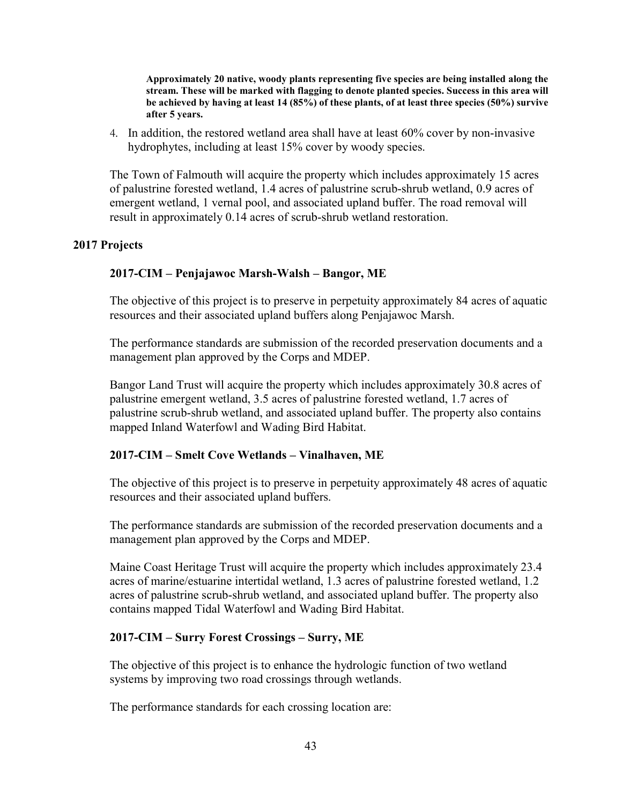Approximately 20 native, woody plants representing five species are being installed along the stream. These will be marked with flagging to denote planted species. Success in this area will be achieved by having at least 14 (85%) of these plants, of at least three species (50%) survive after 5 years.

4. In addition, the restored wetland area shall have at least 60% cover by non-invasive hydrophytes, including at least 15% cover by woody species.

The Town of Falmouth will acquire the property which includes approximately 15 acres of palustrine forested wetland, 1.4 acres of palustrine scrub-shrub wetland, 0.9 acres of emergent wetland, 1 vernal pool, and associated upland buffer. The road removal will result in approximately 0.14 acres of scrub-shrub wetland restoration.

#### 2017 Projects

#### 2017-CIM – Penjajawoc Marsh-Walsh – Bangor, ME

The objective of this project is to preserve in perpetuity approximately 84 acres of aquatic resources and their associated upland buffers along Penjajawoc Marsh.

The performance standards are submission of the recorded preservation documents and a management plan approved by the Corps and MDEP.

Bangor Land Trust will acquire the property which includes approximately 30.8 acres of palustrine emergent wetland, 3.5 acres of palustrine forested wetland, 1.7 acres of palustrine scrub-shrub wetland, and associated upland buffer. The property also contains mapped Inland Waterfowl and Wading Bird Habitat.

#### 2017-CIM – Smelt Cove Wetlands – Vinalhaven, ME

The objective of this project is to preserve in perpetuity approximately 48 acres of aquatic resources and their associated upland buffers.

The performance standards are submission of the recorded preservation documents and a management plan approved by the Corps and MDEP.

Maine Coast Heritage Trust will acquire the property which includes approximately 23.4 acres of marine/estuarine intertidal wetland, 1.3 acres of palustrine forested wetland, 1.2 acres of palustrine scrub-shrub wetland, and associated upland buffer. The property also contains mapped Tidal Waterfowl and Wading Bird Habitat.

#### 2017-CIM – Surry Forest Crossings – Surry, ME

The objective of this project is to enhance the hydrologic function of two wetland systems by improving two road crossings through wetlands.

The performance standards for each crossing location are: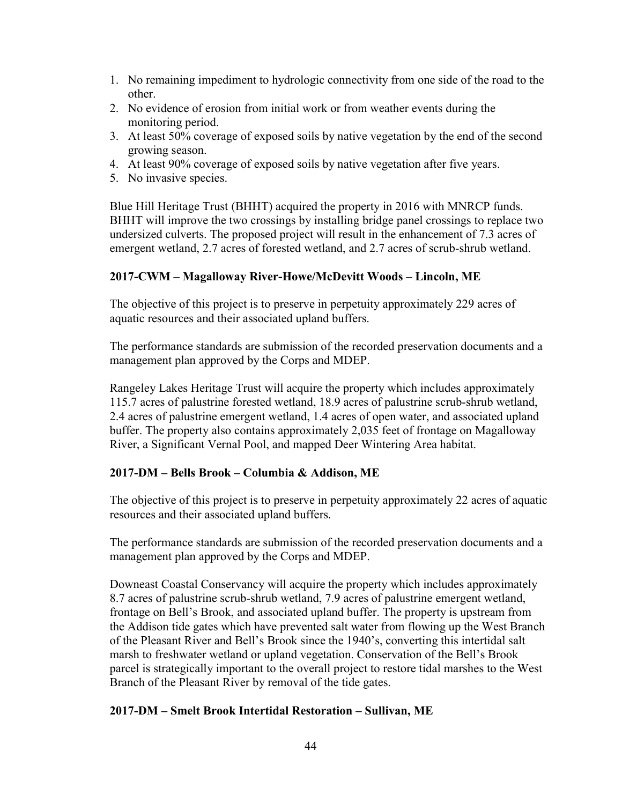- 1. No remaining impediment to hydrologic connectivity from one side of the road to the other.
- 2. No evidence of erosion from initial work or from weather events during the monitoring period.
- 3. At least 50% coverage of exposed soils by native vegetation by the end of the second growing season.
- 4. At least 90% coverage of exposed soils by native vegetation after five years.
- 5. No invasive species.

Blue Hill Heritage Trust (BHHT) acquired the property in 2016 with MNRCP funds. BHHT will improve the two crossings by installing bridge panel crossings to replace two undersized culverts. The proposed project will result in the enhancement of 7.3 acres of emergent wetland, 2.7 acres of forested wetland, and 2.7 acres of scrub-shrub wetland.

#### 2017-CWM – Magalloway River-Howe/McDevitt Woods – Lincoln, ME

The objective of this project is to preserve in perpetuity approximately 229 acres of aquatic resources and their associated upland buffers.

The performance standards are submission of the recorded preservation documents and a management plan approved by the Corps and MDEP.

Rangeley Lakes Heritage Trust will acquire the property which includes approximately 115.7 acres of palustrine forested wetland, 18.9 acres of palustrine scrub-shrub wetland, 2.4 acres of palustrine emergent wetland, 1.4 acres of open water, and associated upland buffer. The property also contains approximately 2,035 feet of frontage on Magalloway River, a Significant Vernal Pool, and mapped Deer Wintering Area habitat.

#### 2017-DM – Bells Brook – Columbia & Addison, ME

The objective of this project is to preserve in perpetuity approximately 22 acres of aquatic resources and their associated upland buffers.

The performance standards are submission of the recorded preservation documents and a management plan approved by the Corps and MDEP.

Downeast Coastal Conservancy will acquire the property which includes approximately 8.7 acres of palustrine scrub-shrub wetland, 7.9 acres of palustrine emergent wetland, frontage on Bell's Brook, and associated upland buffer. The property is upstream from the Addison tide gates which have prevented salt water from flowing up the West Branch of the Pleasant River and Bell's Brook since the 1940's, converting this intertidal salt marsh to freshwater wetland or upland vegetation. Conservation of the Bell's Brook parcel is strategically important to the overall project to restore tidal marshes to the West Branch of the Pleasant River by removal of the tide gates.

#### 2017-DM – Smelt Brook Intertidal Restoration – Sullivan, ME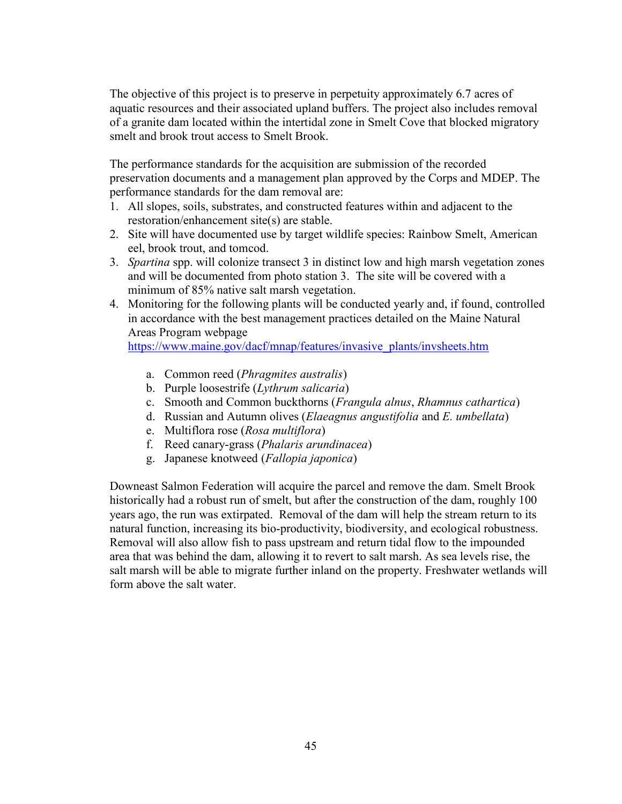The objective of this project is to preserve in perpetuity approximately 6.7 acres of aquatic resources and their associated upland buffers. The project also includes removal of a granite dam located within the intertidal zone in Smelt Cove that blocked migratory smelt and brook trout access to Smelt Brook.

The performance standards for the acquisition are submission of the recorded preservation documents and a management plan approved by the Corps and MDEP. The performance standards for the dam removal are:

- 1. All slopes, soils, substrates, and constructed features within and adjacent to the restoration/enhancement site(s) are stable.
- 2. Site will have documented use by target wildlife species: Rainbow Smelt, American eel, brook trout, and tomcod.
- 3. Spartina spp. will colonize transect 3 in distinct low and high marsh vegetation zones and will be documented from photo station 3. The site will be covered with a minimum of 85% native salt marsh vegetation.
- 4. Monitoring for the following plants will be conducted yearly and, if found, controlled in accordance with the best management practices detailed on the Maine Natural Areas Program webpage

https://www.maine.gov/dacf/mnap/features/invasive\_plants/invsheets.htm

- a. Common reed (Phragmites australis)
- b. Purple loosestrife (Lythrum salicaria)
- c. Smooth and Common buckthorns (Frangula alnus, Rhamnus cathartica)
- d. Russian and Autumn olives (Elaeagnus angustifolia and E. umbellata)
- e. Multiflora rose (Rosa multiflora)
- f. Reed canary-grass (Phalaris arundinacea)
- g. Japanese knotweed (Fallopia japonica)

Downeast Salmon Federation will acquire the parcel and remove the dam. Smelt Brook historically had a robust run of smelt, but after the construction of the dam, roughly 100 years ago, the run was extirpated. Removal of the dam will help the stream return to its natural function, increasing its bio-productivity, biodiversity, and ecological robustness. Removal will also allow fish to pass upstream and return tidal flow to the impounded area that was behind the dam, allowing it to revert to salt marsh. As sea levels rise, the salt marsh will be able to migrate further inland on the property. Freshwater wetlands will form above the salt water.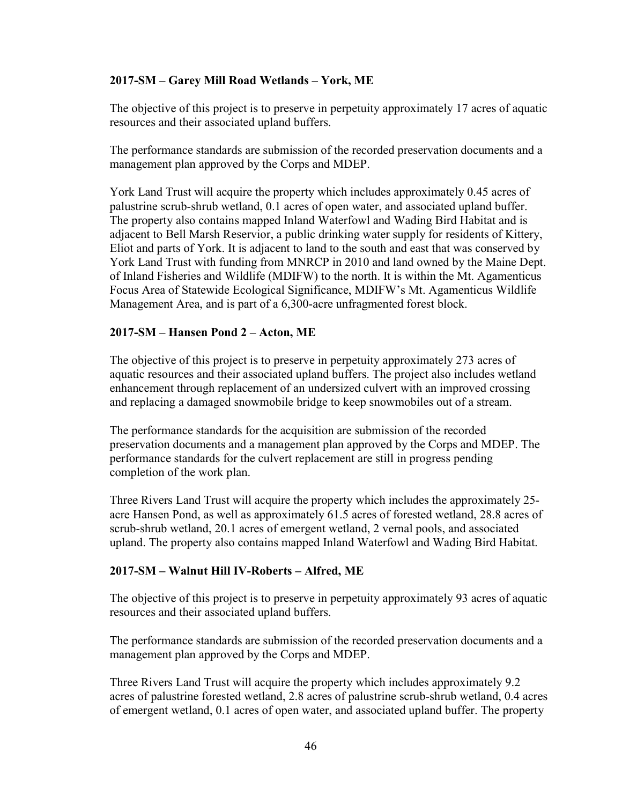#### 2017-SM – Garey Mill Road Wetlands – York, ME

The objective of this project is to preserve in perpetuity approximately 17 acres of aquatic resources and their associated upland buffers.

The performance standards are submission of the recorded preservation documents and a management plan approved by the Corps and MDEP.

York Land Trust will acquire the property which includes approximately 0.45 acres of palustrine scrub-shrub wetland, 0.1 acres of open water, and associated upland buffer. The property also contains mapped Inland Waterfowl and Wading Bird Habitat and is adjacent to Bell Marsh Reservior, a public drinking water supply for residents of Kittery, Eliot and parts of York. It is adjacent to land to the south and east that was conserved by York Land Trust with funding from MNRCP in 2010 and land owned by the Maine Dept. of Inland Fisheries and Wildlife (MDIFW) to the north. It is within the Mt. Agamenticus Focus Area of Statewide Ecological Significance, MDIFW's Mt. Agamenticus Wildlife Management Area, and is part of a 6,300-acre unfragmented forest block.

#### 2017-SM – Hansen Pond 2 – Acton, ME

The objective of this project is to preserve in perpetuity approximately 273 acres of aquatic resources and their associated upland buffers. The project also includes wetland enhancement through replacement of an undersized culvert with an improved crossing and replacing a damaged snowmobile bridge to keep snowmobiles out of a stream.

The performance standards for the acquisition are submission of the recorded preservation documents and a management plan approved by the Corps and MDEP. The performance standards for the culvert replacement are still in progress pending completion of the work plan.

Three Rivers Land Trust will acquire the property which includes the approximately 25 acre Hansen Pond, as well as approximately 61.5 acres of forested wetland, 28.8 acres of scrub-shrub wetland, 20.1 acres of emergent wetland, 2 vernal pools, and associated upland. The property also contains mapped Inland Waterfowl and Wading Bird Habitat.

#### 2017-SM – Walnut Hill IV-Roberts – Alfred, ME

The objective of this project is to preserve in perpetuity approximately 93 acres of aquatic resources and their associated upland buffers.

The performance standards are submission of the recorded preservation documents and a management plan approved by the Corps and MDEP.

Three Rivers Land Trust will acquire the property which includes approximately 9.2 acres of palustrine forested wetland, 2.8 acres of palustrine scrub-shrub wetland, 0.4 acres of emergent wetland, 0.1 acres of open water, and associated upland buffer. The property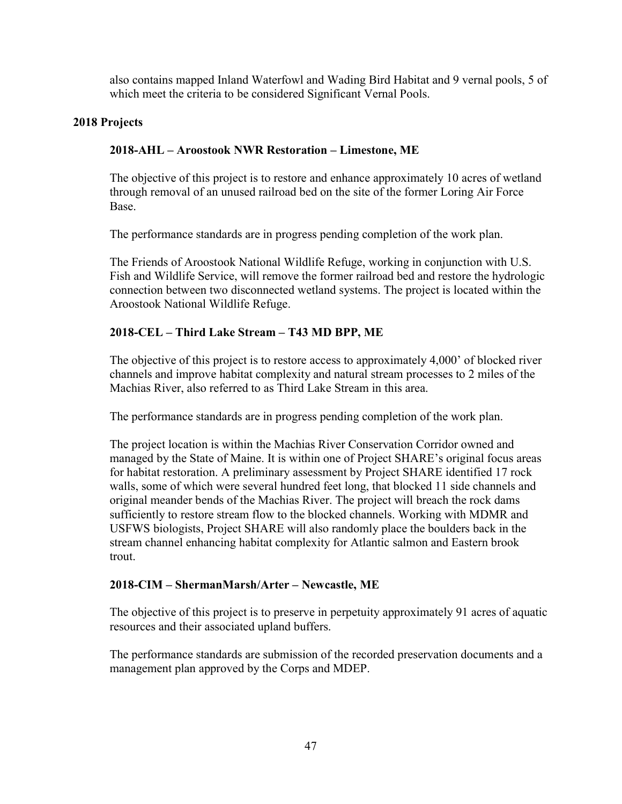also contains mapped Inland Waterfowl and Wading Bird Habitat and 9 vernal pools, 5 of which meet the criteria to be considered Significant Vernal Pools.

#### 2018 Projects

### 2018-AHL – Aroostook NWR Restoration – Limestone, ME

The objective of this project is to restore and enhance approximately 10 acres of wetland through removal of an unused railroad bed on the site of the former Loring Air Force Base.

The performance standards are in progress pending completion of the work plan.

The Friends of Aroostook National Wildlife Refuge, working in conjunction with U.S. Fish and Wildlife Service, will remove the former railroad bed and restore the hydrologic connection between two disconnected wetland systems. The project is located within the Aroostook National Wildlife Refuge.

### 2018-CEL – Third Lake Stream – T43 MD BPP, ME

The objective of this project is to restore access to approximately 4,000' of blocked river channels and improve habitat complexity and natural stream processes to 2 miles of the Machias River, also referred to as Third Lake Stream in this area.

The performance standards are in progress pending completion of the work plan.

The project location is within the Machias River Conservation Corridor owned and managed by the State of Maine. It is within one of Project SHARE's original focus areas for habitat restoration. A preliminary assessment by Project SHARE identified 17 rock walls, some of which were several hundred feet long, that blocked 11 side channels and original meander bends of the Machias River. The project will breach the rock dams sufficiently to restore stream flow to the blocked channels. Working with MDMR and USFWS biologists, Project SHARE will also randomly place the boulders back in the stream channel enhancing habitat complexity for Atlantic salmon and Eastern brook trout.

#### 2018-CIM – ShermanMarsh/Arter – Newcastle, ME

The objective of this project is to preserve in perpetuity approximately 91 acres of aquatic resources and their associated upland buffers.

The performance standards are submission of the recorded preservation documents and a management plan approved by the Corps and MDEP.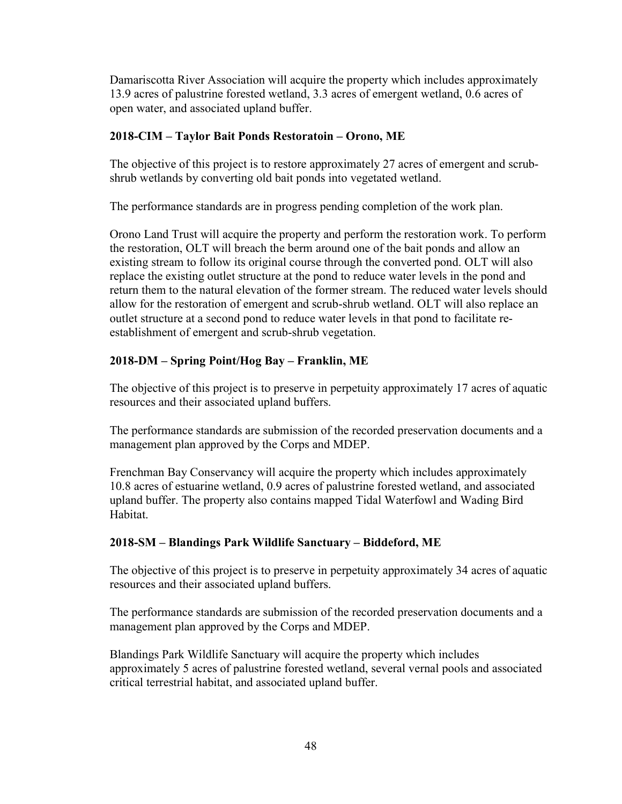Damariscotta River Association will acquire the property which includes approximately 13.9 acres of palustrine forested wetland, 3.3 acres of emergent wetland, 0.6 acres of open water, and associated upland buffer.

### 2018-CIM – Taylor Bait Ponds Restoratoin – Orono, ME

The objective of this project is to restore approximately 27 acres of emergent and scrubshrub wetlands by converting old bait ponds into vegetated wetland.

The performance standards are in progress pending completion of the work plan.

Orono Land Trust will acquire the property and perform the restoration work. To perform the restoration, OLT will breach the berm around one of the bait ponds and allow an existing stream to follow its original course through the converted pond. OLT will also replace the existing outlet structure at the pond to reduce water levels in the pond and return them to the natural elevation of the former stream. The reduced water levels should allow for the restoration of emergent and scrub-shrub wetland. OLT will also replace an outlet structure at a second pond to reduce water levels in that pond to facilitate reestablishment of emergent and scrub-shrub vegetation.

### 2018-DM – Spring Point/Hog Bay – Franklin, ME

The objective of this project is to preserve in perpetuity approximately 17 acres of aquatic resources and their associated upland buffers.

The performance standards are submission of the recorded preservation documents and a management plan approved by the Corps and MDEP.

Frenchman Bay Conservancy will acquire the property which includes approximately 10.8 acres of estuarine wetland, 0.9 acres of palustrine forested wetland, and associated upland buffer. The property also contains mapped Tidal Waterfowl and Wading Bird Habitat.

### 2018-SM – Blandings Park Wildlife Sanctuary – Biddeford, ME

The objective of this project is to preserve in perpetuity approximately 34 acres of aquatic resources and their associated upland buffers.

The performance standards are submission of the recorded preservation documents and a management plan approved by the Corps and MDEP.

Blandings Park Wildlife Sanctuary will acquire the property which includes approximately 5 acres of palustrine forested wetland, several vernal pools and associated critical terrestrial habitat, and associated upland buffer.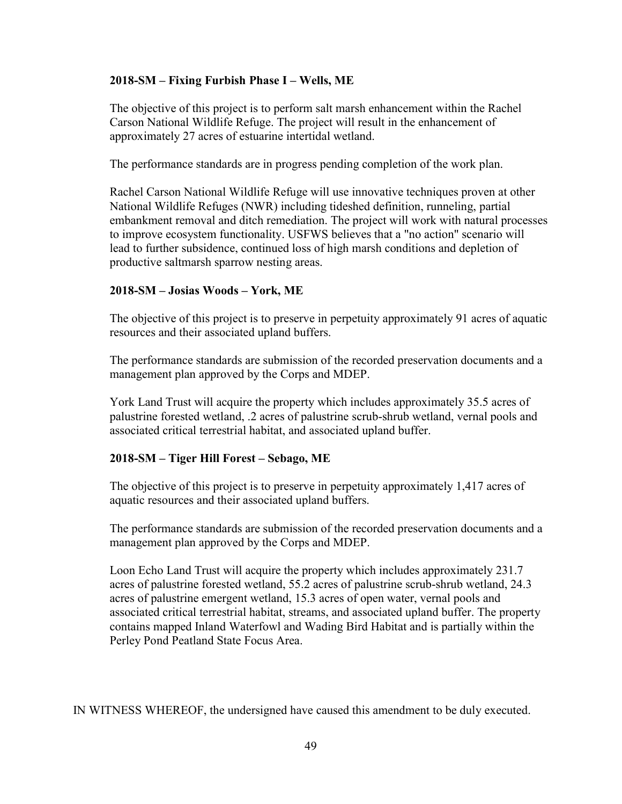#### 2018-SM – Fixing Furbish Phase I – Wells, ME

The objective of this project is to perform salt marsh enhancement within the Rachel Carson National Wildlife Refuge. The project will result in the enhancement of approximately 27 acres of estuarine intertidal wetland.

The performance standards are in progress pending completion of the work plan.

Rachel Carson National Wildlife Refuge will use innovative techniques proven at other National Wildlife Refuges (NWR) including tideshed definition, runneling, partial embankment removal and ditch remediation. The project will work with natural processes to improve ecosystem functionality. USFWS believes that a "no action" scenario will lead to further subsidence, continued loss of high marsh conditions and depletion of productive saltmarsh sparrow nesting areas.

#### 2018-SM – Josias Woods – York, ME

The objective of this project is to preserve in perpetuity approximately 91 acres of aquatic resources and their associated upland buffers.

The performance standards are submission of the recorded preservation documents and a management plan approved by the Corps and MDEP.

York Land Trust will acquire the property which includes approximately 35.5 acres of palustrine forested wetland, .2 acres of palustrine scrub-shrub wetland, vernal pools and associated critical terrestrial habitat, and associated upland buffer.

### 2018-SM – Tiger Hill Forest – Sebago, ME

The objective of this project is to preserve in perpetuity approximately 1,417 acres of aquatic resources and their associated upland buffers.

The performance standards are submission of the recorded preservation documents and a management plan approved by the Corps and MDEP.

Loon Echo Land Trust will acquire the property which includes approximately 231.7 acres of palustrine forested wetland, 55.2 acres of palustrine scrub-shrub wetland, 24.3 acres of palustrine emergent wetland, 15.3 acres of open water, vernal pools and associated critical terrestrial habitat, streams, and associated upland buffer. The property contains mapped Inland Waterfowl and Wading Bird Habitat and is partially within the Perley Pond Peatland State Focus Area.

IN WITNESS WHEREOF, the undersigned have caused this amendment to be duly executed.